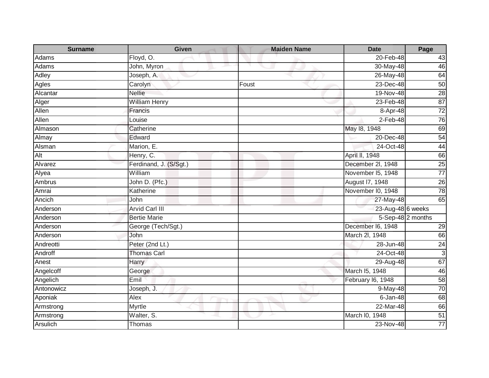| <b>Surname</b> | <b>Given</b>           | <b>Maiden Name</b> | <b>Date</b>       | Page              |
|----------------|------------------------|--------------------|-------------------|-------------------|
| Adams          | Floyd, O.              |                    | 20-Feb-48         | 43                |
| Adams          | John, Myron            |                    | 30-May-48         | 46                |
| Adley          | Joseph, A.             |                    | 26-May-48         | 64                |
| <b>Agles</b>   | Carolyn                | Foust              | 23-Dec-48         | 50                |
| Alcantar       | <b>Nellie</b>          |                    | 19-Nov-48         | 28                |
| Alger          | <b>William Henry</b>   |                    | 23-Feb-48         | 87                |
| Allen          | Francis                |                    | $8 -$ Apr-48      | $\frac{1}{72}$    |
| Allen          | Louise                 |                    | $2$ -Feb-48       | 76                |
| Almason        | Catherine              |                    | May 18, 1948      | 69                |
| Almay          | Edward                 |                    | 20-Dec-48         | 54                |
| Alsman         | Marion, E.             |                    | 24-Oct-48         | 44                |
| Alt            | Henry, C.              |                    | April II, 1948    | 66                |
| Alvarez        | Ferdinand, J. (S/Sgt.) |                    | December 2I, 1948 | $\overline{25}$   |
| Alyea          | William                |                    | November I5, 1948 | $\overline{77}$   |
| Ambrus         | John D. (Pfc.)         |                    | August 17, 1948   | $\overline{26}$   |
| Amrai          | Katherine              |                    | November I0, 1948 | 78                |
| Ancich         | John                   |                    | 27-May-48         | 65                |
| Anderson       | <b>Arvid Carl III</b>  |                    | 23-Aug-48 6 weeks |                   |
| Anderson       | <b>Bertie Marie</b>    |                    |                   | 5-Sep-48 2 months |
| Anderson       | George (Tech/Sgt.)     |                    | December I6, 1948 | 29                |
| Anderson       | John                   |                    | March 2l, 1948    | 66                |
| Andreotti      | Peter (2nd Lt.)        |                    | 28-Jun-48         | 24                |
| Androff        | <b>Thomas Carl</b>     |                    | 24-Oct-48         | س                 |
| Anest          | Harry                  |                    | 29-Aug-48         | 67                |
| Angelcoff      | George                 |                    | March I5, 1948    | 46                |
| Angelich       | Emil                   |                    | February I6, 1948 | 58                |
| Antonowicz     | Joseph, J.             |                    | 9-May-48          | 70                |
| Aponiak        | Alex                   |                    | $6 - Jan-48$      | 68                |
| Armstrong      | Myrtle                 |                    | 22-Mar-48         | 66                |
| Armstrong      | Walter, S.             |                    | March I0, 1948    | $\overline{51}$   |
| Arsulich       | Thomas                 |                    | 23-Nov-48         | 77                |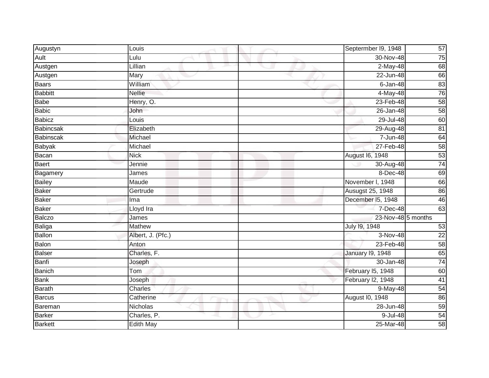| Augustyn       | Louis             | Septermber 19, 1948     | 57              |
|----------------|-------------------|-------------------------|-----------------|
| Ault           | Lulu              | 30-Nov-48               | 75              |
| Austgen        | Lillian           | $2-May-48$              | 68              |
| Austgen        | Mary              | $\overline{22}$ -Jun-48 | 66              |
| <b>Baars</b>   | William           | $6 - Jan-48$            | 83              |
| <b>Babbitt</b> | <b>Nellie</b>     | 4-May-48                | 76              |
| <b>Babe</b>    | Henry, O.         | 23-Feb-48               | 58              |
| <b>Babic</b>   | John              | 26-Jan-48               | 58              |
| <b>Babicz</b>  | Louis             | 29-Jul-48               | 60              |
| Babincsak      | Elizabeth         | 29-Aug-48               | $\overline{81}$ |
| Babinscak      | Michael           | 7-Jun-48                | 64              |
| <b>Babyak</b>  | Michael           | 27-Feb-48               | 58              |
| Bacan          | <b>Nick</b>       | August 16, 1948         | 53              |
| <b>Baert</b>   | Jennie            | 30-Aug-48               | 74              |
| Bagamery       | James             | 8-Dec-48                | 69              |
| <b>Bailey</b>  | Maude             | November I, 1948        | 66              |
| <b>Baker</b>   | Gertrude          | <b>Ausugst 25, 1948</b> | 86              |
| <b>Baker</b>   | Ima               | December I5, 1948       | 46              |
| <b>Baker</b>   | Lloyd Ira         | 7-Dec-48                | 63              |
| <b>Balczo</b>  | James             | 23-Nov-48 5 months      |                 |
| Baliga         | <b>Mathew</b>     | July 19, 1948           | 53              |
| <b>Ballon</b>  | Albert, J. (Pfc.) | 3-Nov-48                | $\overline{22}$ |
| Balon          | Anton             | 23-Feb-48               | 58              |
| <b>Balser</b>  | Charles, F.       | <b>January 19, 1948</b> | 65              |
| Banfi          | Joseph            | 30-Jan-48               | $\overline{74}$ |
| <b>Banich</b>  | Tom               | February I5, 1948       | 60              |
| <b>Bank</b>    | Joseph            | February I2, 1948       | 41              |
| <b>Barath</b>  | Charles           | 9-May-48                | 54              |
| <b>Barcus</b>  | Catherine         | August I0, 1948         | 86              |
| Bareman        | Nicholas          | 28-Jun-48               | 59              |
| <b>Barker</b>  | Charles, P.       | 9-Jul-48                | 54              |
| <b>Barkett</b> | <b>Edith May</b>  | 25-Mar-48               | $\overline{58}$ |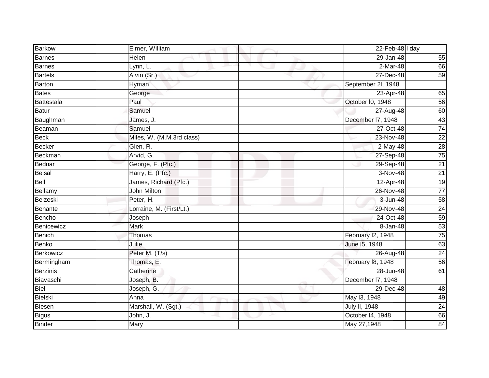| <b>Barkow</b>   | Elmer, William            | 22-Feb-48 $\vert$ l day |                 |
|-----------------|---------------------------|-------------------------|-----------------|
| <b>Barnes</b>   | Helen                     | 29-Jan-48               | 55              |
| <b>Barnes</b>   | Lynn, L.                  | $2-Mar-48$              | 66              |
| <b>Bartels</b>  | Alvin (Sr.)               | 27-Dec-48               | 59              |
| <b>Barton</b>   | Hyman                     | September 2l, 1948      |                 |
| <b>Bates</b>    | George                    | 23-Apr-48               | 65              |
| Battestala      | Paul                      | October I0, 1948        | 56              |
| <b>Batur</b>    | Samuel                    | 27-Aug-48               | 60              |
| Baughman        | James, J.                 | December I7, 1948       | 43              |
| Beaman          | Samuel                    | 27-Oct-48               | 74              |
| <b>Beck</b>     | Miles, W. (M.M.3rd class) | 23-Nov-48               | $\overline{22}$ |
| <b>Becker</b>   | Glen, R.                  | $2-May-48$              | 28              |
| Beckman         | Arvid, G.                 | 27-Sep-48               | 75              |
| Bednar          | George, F. (Pfc.)         | 29-Sep-48               | $\overline{21}$ |
| <b>Beisal</b>   | Harry, E. (Pfc.)          | 3-Nov-48                | $\overline{21}$ |
| Bell            | James, Richard (Pfc.)     | 12-Apr-48               | 19              |
| Bellamy         | <b>John Milton</b>        | 26-Nov-48               | $\overline{77}$ |
| Belzeski        | Peter, H.                 | 3-Jun-48                | 58              |
| Benante         | Lorraine, M. (First/Lt.)  | 29-Nov-48               | $\overline{24}$ |
| Bencho          | Joseph                    | 24-Oct-48               | 59              |
| Benicewicz      | Mark                      | $8 - Jan-48$            | 53              |
| <b>Benich</b>   | Thomas                    | February I2, 1948       | 75              |
| Benko           | Julie                     | June 15, 1948           | 63              |
| Berkowicz       | Peter M. (T/s)            | 26-Aug-48               | 24              |
| Bermingham      | Thomas, E.                | February 18, 1948       | 56              |
| <b>Berzinis</b> | Catherine                 | 28-Jun-48               | 61              |
| Biavaschi       | Joseph, B.                | December 17, 1948       |                 |
| <b>Biel</b>     | Joseph, G.                | 29-Dec-48               | 48              |
| Bielski         | Anna                      | May 13, 1948            | 49              |
| <b>Biesen</b>   | Marshall, W. (Sgt.)       | July II, 1948           | 24              |
| <b>Bigus</b>    | John, J.                  | October 14, 1948        | 66              |
| <b>Binder</b>   | Mary                      | May 27,1948             | 84              |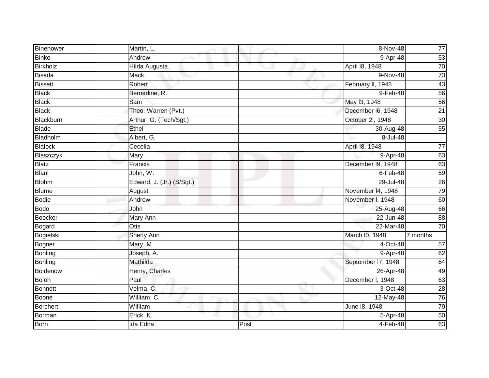| Binehower       | Martin, L.                |      | 8-Nov-48               | $77$            |
|-----------------|---------------------------|------|------------------------|-----------------|
| <b>Binko</b>    | Andrew                    |      | 9-Apr-48               | 53              |
| <b>Birkholz</b> | <b>Hilda Augusta</b>      |      | April 18, 1948         | 70              |
| <b>Bisada</b>   | Mack                      |      | 9-Nov-48               | $\overline{73}$ |
| <b>Bissett</b>  | Robert                    |      | February II, 1948      | 43              |
| <b>Black</b>    | Bernadine, R.             |      | 9-Feb-48               | 56              |
| <b>Black</b>    | Sam                       |      | May 13, 1948           | 56              |
| <b>Black</b>    | Theo. Warren (Pvt.)       |      | December I6, 1948      | $\overline{21}$ |
| Blackburn       | Arthur, G. (Tech/Sgt.)    |      | October 2l, 1948       | 30              |
| <b>Blade</b>    | Ethel                     |      | 30-Aug-48              | 55              |
| Bladholm        | Albert, G.                |      | $8 -$ Jul-48           |                 |
| <b>Blalock</b>  | Cecelia                   |      | April 18, 1948         | $\overline{77}$ |
| Blaszczyk       | Mary                      |      | 9-Apr-48               | 63              |
| <b>Blatz</b>    | Francis                   |      | December I9, 1948      | 63              |
| Blaul           | John, W.                  |      | $6$ -Feb-48            | $\overline{59}$ |
| <b>Blohm</b>    | Edward, J. (Jr.) (S/Sgt.) |      | 29-Jul-48              | $\overline{26}$ |
| <b>Blume</b>    | August                    |      | November 14, 1948      | $\overline{79}$ |
| Bodie           | Andrew                    |      | November I, 1948       | 60              |
| <b>Bodo</b>     | John                      |      | 25-Aug-48              | 66              |
| <b>Boecker</b>  | <b>Mary Ann</b>           |      | 22-Jun-48              | 88              |
| Bogard          | <b>Otis</b>               |      | 22-Mar-48              | $\overline{70}$ |
| Bogielski       | Sherly Ann                |      | March I0, 1948         | 7 months        |
| Bogner          | Mary, M.                  |      | 4-Oct-48               | 57              |
| <b>Bohling</b>  | Joseph, A.                |      | 9-Apr-48               | 62              |
| <b>Bohling</b>  | Mathilda                  |      | September I7, 1948     | 64              |
| Boldenow        | Henry, Charles            |      | 26-Apr-48              | 49              |
| <b>Boloh</b>    | Paul                      |      | December I, 1948       | 63              |
| <b>Bonnett</b>  | Velma, C.                 |      | $\overline{3}$ -Oct-48 | $\overline{28}$ |
| Boone           | William, C.               |      | 12-May-48              | 76              |
| Borchert        | William                   |      | June 18, 1948          | 79              |
| Borman          | Erick, K.                 |      | 5-Apr-48               | 50              |
| Born            | Ida Edna                  | Post | 4-Feb-48               | 63              |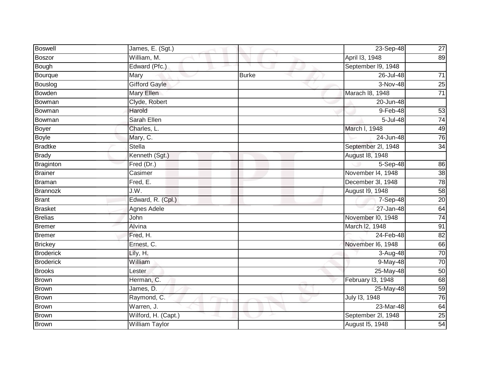| <b>Boswell</b>   | James, E. (Sgt.)      |              | 23-Sep-48          | <b>27</b>       |
|------------------|-----------------------|--------------|--------------------|-----------------|
| <b>Boszor</b>    | William, M.           |              | April 13, 1948     | 89              |
| Bough            | Edward (Pfc.)         |              | September I9, 1948 |                 |
| Bourque          | Mary                  | <b>Burke</b> | 26-Jul-48          | $\overline{71}$ |
| Bouslog          | <b>Gifford Gayle</b>  |              | $3-Nov-48$         | 25              |
| <b>Bowden</b>    | Mary Ellen            |              | Marach I8, 1948    | $\overline{71}$ |
| Bowman           | Clyde, Robert         |              | 20-Jun-48          |                 |
| Bowman           | Harold                |              | 9-Feb-48           | 53              |
| Bowman           | Sarah Ellen           |              | 5-Jul-48           | 74              |
| <b>Boyer</b>     | Charles, L.           |              | March I, 1948      | 49              |
| <b>Boyle</b>     | Mary, C.              |              | 24-Jun-48          | 76              |
| <b>Bradtke</b>   | <b>Stella</b>         |              | September 2l, 1948 | $\overline{34}$ |
| <b>Brady</b>     | Kenneth (Sgt.)        |              | August 18, 1948    |                 |
| <b>Braginton</b> | Fred (Dr.)            |              | $5-Sep-48$         | 86              |
| <b>Brainer</b>   | Casimer               |              | November 14, 1948  | 38              |
| <b>Braman</b>    | Fred, $E$ .           |              | December 3I, 1948  | 78              |
| Brannozk         | J.W.                  |              | August 19, 1948    | 58              |
| <b>Brant</b>     | Edward, R. (Cpl.)     |              | 7-Sep-48           | 20              |
| <b>Brasket</b>   | Agnes Adele           |              | 27-Jan-48          | 64              |
| <b>Brelias</b>   | John                  |              | November I0, 1948  | 74              |
| <b>Bremer</b>    | Alvina                |              | March I2, 1948     | 91              |
| <b>Bremer</b>    | Fred, H.              |              | 24-Feb-48          | $\overline{82}$ |
| <b>Brickey</b>   | Ernest, C.            |              | November I6, 1948  | 66              |
| <b>Broderick</b> | Lily, H.              |              | 3-Aug-48           | 70              |
| <b>Broderick</b> | William               |              | 9-May-48           | 70              |
| <b>Brooks</b>    | Lester                |              | 25-May-48          | 50              |
| <b>Brown</b>     | Herman, C.            |              | February I3, 1948  | 68              |
| <b>Brown</b>     | James, D.             |              | 25-May-48          | 59              |
| <b>Brown</b>     | Raymond, C.           |              | July 13, 1948      | 76              |
| <b>Brown</b>     | Warren, J.            |              | 23-Mar-48          | 64              |
| <b>Brown</b>     | Wilford, H. (Capt.)   |              | September 2l, 1948 | 25              |
| Brown            | <b>William Taylor</b> |              | August 15, 1948    | 54              |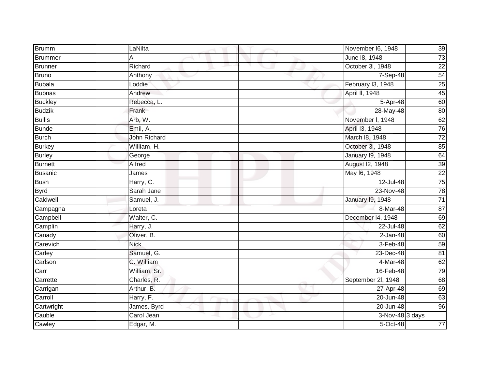| Brumm          | LaNilta             | November I6, 1948       | 39              |
|----------------|---------------------|-------------------------|-----------------|
| Brummer        | Al                  | June 18, 1948           | 73              |
| <b>Brunner</b> | Richard             | October 3l, 1948        | $\overline{22}$ |
| Bruno          | Anthony             | 7-Sep-48                | 54              |
| <b>Bubala</b>  | Loddie              | February I3, 1948       | $\overline{25}$ |
| <b>Bubnas</b>  | Andrew              | April II, 1948          | 45              |
| <b>Buckley</b> | Rebecca, L.         | 5-Apr-48                | 60              |
| <b>Budzik</b>  | Frank               | 28-May-48               | 80              |
| <b>Bullis</b>  | Arb, W.             | November I, 1948        | 62              |
| <b>Bunde</b>   | Emil, A.            | April 13, 1948          | 76              |
| <b>Burch</b>   | <b>John Richard</b> | March 18, 1948          | $\overline{72}$ |
| <b>Burkey</b>  | William, H.         | October 3l, 1948        | 85              |
| <b>Burley</b>  | George              | January 19, 1948        | 64              |
| <b>Burnett</b> | Alfred              | August I2, 1948         | 39              |
| Busanic        | James               | May 16, 1948            | $\overline{22}$ |
| <b>Bush</b>    | Harry, C.           | 12-Jul-48               | 75              |
| <b>Byrd</b>    | Sarah Jane          | 23-Nov-48               | $\overline{78}$ |
| Caldwell       | Samuel, J.          | <b>January 19, 1948</b> | $\overline{71}$ |
| Campagna       | Loreta              | 8-Mar-48                | 87              |
| Campbell       | Walter, C.          | December 14, 1948       | 69              |
| Camplin        | Harry, J.           | 22-Jul-48               | 62              |
| Canady         | Oliver, B.          | $2-Jan-48$              | 60              |
| Carevich       | <b>Nick</b>         | 3-Feb-48                | 59              |
| Carley         | Samuel, G.          | $23$ -Dec-48            | 81              |
| Carlson        | C. William          | 4-Mar-48                | 62              |
| Carr           | William, Sr.        | 16-Feb-48               | 79              |
| Carrette       | Charles, R.         | September 2l, 1948      | 68              |
| Carrigan       | Arthur, B.          | 27-Apr-48               | 69              |
| Carroll        | Harry, F.           | 20-Jun-48               | 63              |
| Cartwright     | James, Byrd         | 20-Jun-48               | 96              |
| Cauble         | Carol Jean          | $3-Nov-48$ 3 days       |                 |
| Cawley         | Edgar, M.           | 5-Oct-48                | $\overline{77}$ |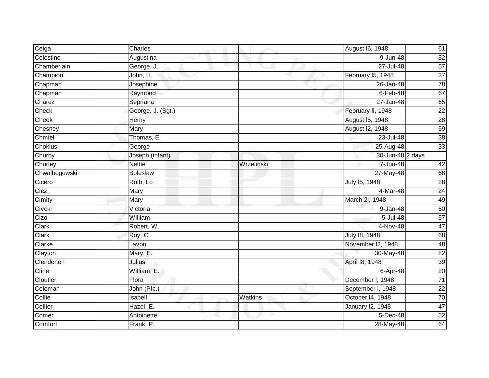| Ceiga         | Charles           |            | August 16, 1948         | 61              |
|---------------|-------------------|------------|-------------------------|-----------------|
| Celestino     | Augustina         |            | 9-Jun-48                | $\overline{32}$ |
| Chamberlain   | George, J.        |            | $27 -$ Jul-48           | 57              |
| Champion      | John, H.          |            | February I5, 1948       | $\overline{37}$ |
| Chapman       | Josephine         |            | 26-Jan-48               | 78              |
| Chapman       | Raymond           |            | $6$ -Feb-48             | 67              |
| Charez        | Sepriana          |            | 27-Jan-48               | 65              |
| Check         | George, J. (Sgt.) |            | February II, 1948       | $\overline{22}$ |
| Cheek         | Henry             |            | August 15, 1948         | 28              |
| Chesney       | Mary              |            | <b>August 12, 1948</b>  | 59              |
| Chmiel        | Thomas, E.        |            | 23-Jul-48               | 38              |
| Choklus       | George            |            | 25-Aug-48               | 33              |
| Churby        | Joseph (infant)   |            | 30-Jun-48 2 days        |                 |
| Churley       | <b>Nettie</b>     | Wrzelinski | 7-Jun-48                | 42              |
| Chwalbogowski | <b>Boleslaw</b>   |            | 27-May-48               | 68              |
| Cicero        | Ruth, Lo          |            | July 15, 1948           | 28              |
| Ciez          | Mary              |            | 4-Mar-48                | 24              |
| Cimity        | Mary              |            | March 2I, 1948          | 49              |
| Civcki        | Victoria          |            | 9-Jan-48                | 60              |
| Cizo          | William           |            | $5 -$ Jul-48            | 57              |
| Clark         | Robert, W.        |            | 4-Nov-48                | 47              |
| Clark         | Roy, C.           |            | July 18, 1948           | 68              |
| Clarke        | Lavon             |            | November I2, 1948       | 48              |
| Clayton       | Mary, E.          |            | 30-May-48               | 82              |
| Clendenen     | Julius            |            | April 18, 1948          | 39              |
| Cline         | William, E.       |            | 6-Apr-48                | 20              |
| Cloutier      | Flora             |            | December I, 1948        | $\overline{71}$ |
| Coleman       | John (Pfc.)       |            | September I, 1948       | $\overline{22}$ |
| Collie        | Isabell           | Watkins    | October 14, 1948        | 70              |
| Collier       | Hazel, E.         |            | <b>January 12, 1948</b> | 47              |
| Comer         | Antoinette        |            | 5-Dec-48                | 52              |
| Comfort       | Frank, P.         |            | 28-May-48               | 64              |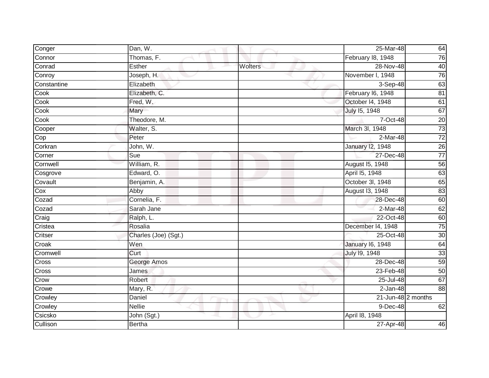| Conger       | Dan, W.              |         | 25-Mar-48               | 64              |
|--------------|----------------------|---------|-------------------------|-----------------|
| Connor       | Thomas, F.           |         | February 18, 1948       | 76              |
| Conrad       | Esther               | Wolters | 28-Nov-48               | 40              |
| Conroy       | Joseph, H.           |         | November I, 1948        | 76              |
| Constantine  | Elizabeth            |         | $3-$ Sep-48             | 63              |
| Cook         | Elizabeth, C.        |         | February 16, 1948       | 81              |
| Cook         | Fred, W.             |         | October 14, 1948        | 61              |
| Cook         | Mary                 |         | July 15, 1948           | 67              |
| Cook         | Theodore, M.         |         | 7-Oct-48                | $\overline{20}$ |
| Cooper       | Walter, S.           |         | March 3I, 1948          | $\overline{73}$ |
| Cop          | Peter                |         | 2-Mar-48                | $\overline{72}$ |
| Corkran      | John, W.             |         | <b>January 12, 1948</b> | 26              |
| Corner       | Sue                  |         | 27-Dec-48               | $\overline{77}$ |
| Cornwell     | William, R.          |         | August 15, 1948         | 56              |
| Cosgrove     | Edward, O.           |         | April 15, 1948          | $\overline{63}$ |
| Covault      | Benjamin, A.         |         | October 3I, 1948        | 65              |
| Cox          | Abby                 |         | August 13, 1948         | 83              |
| Cozad        | Cornelia, F.         |         | 28-Dec-48               | 60              |
| Cozad        | Sarah Jane           |         | 2-Mar-48                | 62              |
| Craig        | Ralph, L.            |         | 22-Oct-48               | 60              |
| Cristea      | Rosalia              |         | December 14, 1948       | 75              |
| Critser      | Charles (Joe) (Sgt.) |         | 25-Oct-48               | $\overline{30}$ |
| Croak        | Wen                  |         | <b>January 16, 1948</b> | 64              |
| Cromwell     | Curt                 |         | July 19, 1948           | 33              |
| <b>Cross</b> | George Amos          |         | 28-Dec-48               | 59              |
| Cross        | James                |         | 23-Feb-48               | 50              |
| Crow         | Robert               |         | 25-Jul-48               | 67              |
| Crowe        | Mary, R.             |         | $2-Jan-48$              | 88              |
| Crowley      | Daniel               |         | 21-Jun-48 2 months      |                 |
| Crowley      | <b>Nellie</b>        |         | 9-Dec-48                | 62              |
| Csicsko      | John (Sgt.)          |         | April 18, 1948          |                 |
| Cullison     | <b>Bertha</b>        |         | 27-Apr-48               | 46              |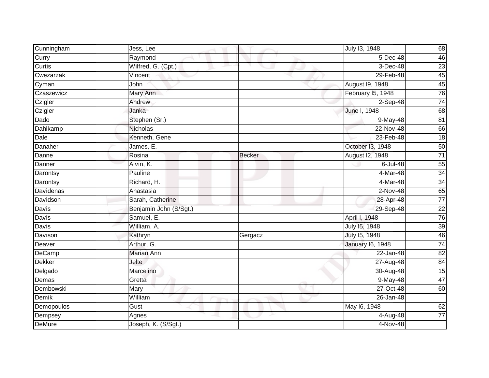| Cunningham    | Jess, Lee              |               | July 13, 1948           | 68              |
|---------------|------------------------|---------------|-------------------------|-----------------|
| Curry         | Raymond                |               | 5-Dec-48                | 46              |
| Curtis        | Wilfred, G. (Cpt.)     |               | $3-Dec-48$              | 23              |
| Cwezarzak     | Vincent                |               | 29-Feb-48               | 45              |
| Cyman         | John                   |               | August 19, 1948         | 45              |
| Czaszewicz    | Mary Ann               |               | February I5, 1948       | 76              |
| Czigler       | Andrew                 |               | 2-Sep-48                | 74              |
| Czigler       | Janka                  |               | June I, 1948            | 68              |
| Dado          | Stephen (Sr.)          |               | 9-May-48                | 81              |
| Dahlkamp      | <b>Nicholas</b>        |               | $22-Nov-48$             | 66              |
| Dale          | Kenneth, Gene          |               | 23-Feb-48               | 18              |
| Danaher       | James, E.              |               | October 13, 1948        | 50              |
| Danne         | Rosina                 | <b>Becker</b> | August I2, 1948         | $\overline{71}$ |
| Danner        | Alvin, K.              |               | 6-Jul-48                | 55              |
| Darontsy      | Pauline                |               | 4-Mar-48                | 34              |
| Darontsy      | Richard, H.            |               | 4-Mar-48                | 34              |
| Davidenas     | Anastasia              |               | $2-Nov-48$              | 65              |
| Davidson      | Sarah, Catherine       |               | 28-Apr-48               | $77$            |
| Davis         | Benjamin John (S/Sgt.) |               | 29-Sep-48               | $\overline{22}$ |
| <b>Davis</b>  | Samuel, E.             |               | April I, 1948           | 76              |
| Davis         | William, A.            |               | July 15, 1948           | 39              |
| Davison       | Kathryn                | Gergacz       | July 15, 1948           | 46              |
| Deaver        | Arthur, G.             |               | <b>January 16, 1948</b> | $\overline{74}$ |
| DeCamp        | Marian Ann             |               | 22-Jan-48               | 82              |
| <b>Dekker</b> | Jelte                  |               | 27-Aug-48               | 84              |
| Delgado       | Marcelino              |               | 30-Aug-48               | 15              |
| Demas         | Gretta                 |               | 9-May-48                | 47              |
| Dembowski     | Mary                   |               | 27-Oct-48               | 60              |
| Demik         | William                |               | 26-Jan-48               |                 |
| Demopoulos    | Gust                   |               | May 16, 1948            | 62              |
| Dempsey       | Agnes                  |               | 4-Aug-48                | $\overline{77}$ |
| <b>DeMure</b> | Joseph, K. (S/Sgt.)    |               | 4-Nov-48                |                 |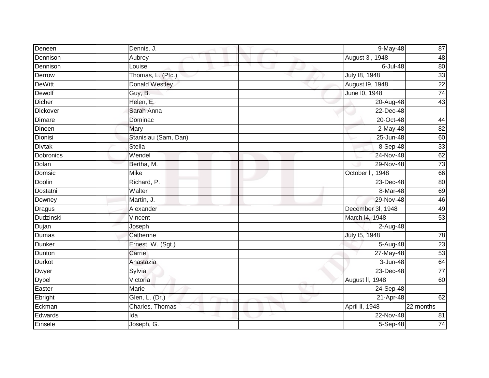| Deneen           | Dennis, J.            | 9-May-48          | 87              |
|------------------|-----------------------|-------------------|-----------------|
| Dennison         | Aubrey                | August 3l, 1948   | 48              |
| Dennison         | Louise                | 6-Jul-48          | 80              |
| Derrow           | Thomas, L. (Pfc.)     | July 18, 1948     | 33              |
| <b>DeWitt</b>    | <b>Donald Westley</b> | August 19, 1948   | $\overline{22}$ |
| Dewolf           | Guy, B.               | June 10, 1948     | $\overline{74}$ |
| <b>Dicher</b>    | Helen, E.             | 20-Aug-48         | 43              |
| <b>Dickover</b>  | Sarah Anna            | 22-Dec-48         |                 |
| Dimare           | Dominac               | 20-Oct-48         | 44              |
| Dineen           | Mary                  | $2-May-48$        | 82              |
| Dionisi          | Stanislau (Sam, Dan)  | 25-Jun-48         | 60              |
| <b>Divtak</b>    | Stella                | 8-Sep-48          | 33              |
| Dobronics        | Wendel                | 24-Nov-48         | 62              |
| Dolan            | Bertha, M.            | 29-Nov-48         | $\overline{73}$ |
| Domsic           | <b>Mike</b>           | October II, 1948  | 66              |
| Doolin           | Richard, P.           | 23-Dec-48         | 80              |
| Dostatni         | Walter                | 8-Mar-48          | 69              |
| Downey           | Martin, J.            | 29-Nov-48         | 46              |
| <b>Dragus</b>    | Alexander             | December 3I, 1948 | 49              |
| <b>Dudzinski</b> | Vincent               | March 14, 1948    | 53              |
| Dujan            | Joseph                | 2-Aug-48          |                 |
| <b>Dumas</b>     | Catherine             | July 15, 1948     | 78              |
| Dunker           | Ernest, W. (Sgt.)     | 5-Aug-48          | 23              |
| Dunton           | Carrie                | 27-May-48         | 53              |
| <b>Durkot</b>    | Anastazia             | 3-Jun-48          | 64              |
| Dwyer            | Sylvia                | 23-Dec-48         | $\overline{77}$ |
| <b>Dybel</b>     | Victoria              | August II, 1948   | 60              |
| Easter           | Marie                 | 24-Sep-48         |                 |
| Ebright          | Glen, L. (Dr.)        | 21-Apr-48         | 62              |
| Eckman           | Charles, Thomas       | April II, 1948    | $22$ months     |
| Edwards          | Ida                   | 22-Nov-48         | 81              |
| Einsele          | Joseph, G.            | 5-Sep-48          | 74              |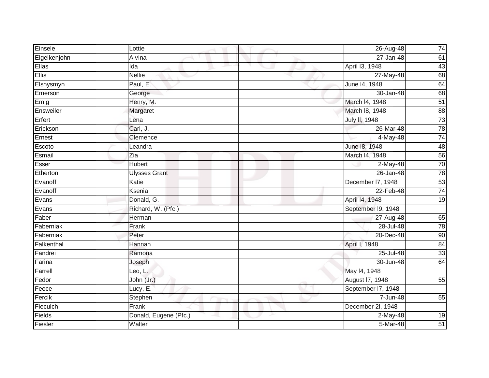| Einsele      | Lottie                | 26-Aug-48               | 74              |
|--------------|-----------------------|-------------------------|-----------------|
| Elgelkenjohn | Alvina                | 27-Jan-48               | 61              |
| Ellas        | Ida                   | April 13, 1948          | 43              |
| <b>Ellis</b> | <b>Nellie</b>         | $\overline{27}$ -May-48 | 68              |
| Elshysmyn    | Paul, E.              | June 14, 1948           | 64              |
| Emerson      | George                | 30-Jan-48               | 68              |
| Emig         | Henry, M.             | March I4, 1948          | $\overline{51}$ |
| Ensweiler    | Margaret              | March 18, 1948          | 88              |
| Erfert       | Lena                  | July II, 1948           | $\overline{73}$ |
| Erickson     | Carl, J.              | 26-Mar-48               | $\overline{78}$ |
| Ernest       | Clemence              | 4-May-48                | $\overline{74}$ |
| Escoto       | Leandra               | June 18, 1948           | 48              |
| Esmail       | Zia                   | March 14, 1948          | 56              |
| Esser        | <b>Hubert</b>         | 2-May-48                | $\overline{70}$ |
| Etherton     | <b>Ulysses Grant</b>  | 26-Jan-48               | 78              |
| Evanoff      | Katie                 | December I7, 1948       | 53              |
| Evanoff      | Ksenia                | 22-Feb-48               | $\overline{74}$ |
| Evans        | Donald, G.            | April 14, 1948          | 19              |
| Evans        | Richard, W. (Pfc.)    | September 19, 1948      |                 |
| Faber        | Herman                | 27-Aug-48               | 65              |
| Faberniak    | Frank                 | 28-Jul-48               | 78              |
| Faberniak    | Peter                 | 20-Dec-48               | 90              |
| Falkenthal   | Hannah                | April I, 1948           | 84              |
| Fandrei      | Ramona                | 25-Jul-48               | 33              |
| Farina       | Joseph                | 30-Jun-48               | 64              |
| Farrell      | Leo, L.               | May 14, 1948            |                 |
| Fedor        | John (Jr.)            | August 17, 1948         | 55              |
| Feece        | Lucy, E.              | September I7, 1948      |                 |
| Fercik       | Stephen               | 7-Jun-48                | 55              |
| Fieculch     | Frank                 | December 2l, 1948       |                 |
| Fields       | Donald, Eugene (Pfc.) | $2-May-48$              | 19              |
| Fiesler      | Walter                | 5-Mar-48                | 51              |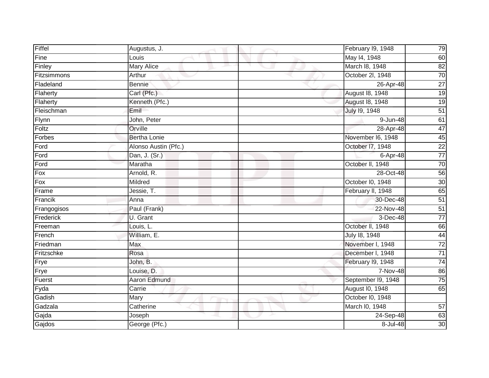| Fiffel      | Augustus, J.         | February I9, 1948  | 79              |
|-------------|----------------------|--------------------|-----------------|
| Fine        | Louis                | May 14, 1948       | 60              |
| Finley      | <b>Mary Alice</b>    | March 18, 1948     | 82              |
| Fitzsimmons | Arthur               | October 2l, 1948   | 70              |
| Fladeland   | Bennie               | 26-Apr-48          | $\overline{27}$ |
| Flaherty    | Carl (Pfc.)          | August 18, 1948    | 19              |
| Flaherty    | Kenneth (Pfc.)       | August 18, 1948    | 19              |
| Fleischman  | Emil                 | July 19, 1948      | 51              |
| Flynn       | John, Peter          | 9-Jun-48           | 61              |
| Foltz       | Orville              | 28-Apr-48          | 47              |
| Forbes      | <b>Bertha Lonie</b>  | November I6, 1948  | 45              |
| Ford        | Alonso Austin (Pfc.) | October 17, 1948   | $\overline{22}$ |
| Ford        | Dan, J. (Sr.)        | 6-Apr-48           | $\overline{77}$ |
| Ford        | Maratha              | October II, 1948   | 70              |
| Fox         | Arnold, R.           | 28-Oct-48          | 56              |
| Fox         | Mildred              | October I0, 1948   | 30              |
| Frame       | Jessie, T.           | February II, 1948  | 65              |
| Francik     | Anna                 | 30-Dec-48          | 51              |
| Frangogisos | Paul (Frank)         | 22-Nov-48          | 51              |
| Frederick   | U. Grant             | 3-Dec-48           | $\overline{77}$ |
| Freeman     | Louis, L.            | October II, 1948   | 66              |
| French      | William, E.          | July 18, 1948      | 44              |
| Friedman    | Max                  | November I, 1948   | $\overline{72}$ |
| Fritzschke  | Rosa                 | December I, 1948   | $\overline{71}$ |
| Frye        | John, B.             | February I9, 1948  | 74              |
| Frye        | Louise, D.           | 7-Nov-48           | 86              |
| Fuerst      | <b>Aaron Edmund</b>  | September I9, 1948 | 75              |
| Fyda        | Carrie               | August I0, 1948    | 65              |
| Gadish      | Mary                 | October I0, 1948   |                 |
| Gadzala     | Catherine            | March I0, 1948     | 57              |
| Gajda       | Joseph               | 24-Sep-48          | 63              |
| Gajdos      | George (Pfc.)        | 8-Jul-48           | $\overline{30}$ |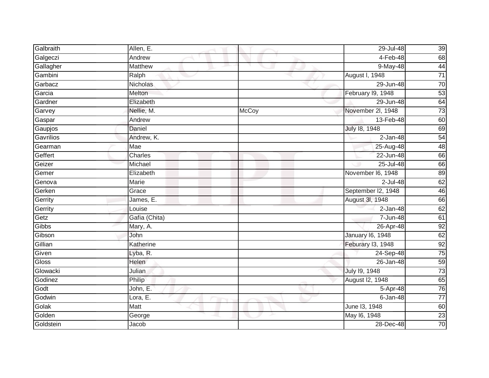| Galbraith    | Allen, E.       |       | 29-Jul-48               | 39              |
|--------------|-----------------|-------|-------------------------|-----------------|
| Galgeczi     | Andrew          |       | 4-Feb-48                | 68              |
| Gallagher    | <b>Matthew</b>  |       | 9-May-48                | 44              |
| Gambini      | Ralph           |       | August I, 1948          | $\overline{71}$ |
| Garbacz      | <b>Nicholas</b> |       | 29-Jun-48               | $\overline{70}$ |
| Garcia       | Melton          |       | February I9, 1948       | 53              |
| Gardner      | Elizabeth       |       | 29-Jun-48               | 64              |
| Garvey       | Nellie, M.      | McCoy | November 2I, 1948       | $\overline{73}$ |
| Gaspar       | Andrew          |       | 13-Feb-48               | 60              |
| Gaupjos      | Daniel          |       | July 18, 1948           | 69              |
| Gavrilios    | Andrew, K.      |       | $2-Jan-48$              | 54              |
| Gearman      | Mae             |       | $25$ -Aug-48            | 48              |
| Geffert      | Charles         |       | 22-Jun-48               | 66              |
| Geizer       | Michael         |       | 25-Jul-48               | 66              |
| Gemer        | Elizabeth       |       | November I6, 1948       | 89              |
| Genova       | Marie           |       | $2$ -Jul-48             | 62              |
| Gerken       | Grace           |       | September I2, 1948      | 46              |
| Gerrity      | James, E.       |       | August 3I, 1948         | 66              |
| Gerrity      | Louise          |       | $2-Jan-48$              | 62              |
| Getz         | Gafia (Chita)   |       | 7-Jun-48                | 61              |
| Gibbs        | Mary, A.        |       | 26-Apr-48               | 92              |
| Gibson       | John            |       | <b>January 16, 1948</b> | 62              |
| Gillian      | Katherine       |       | Feburary I3, 1948       | 92              |
| Given        | Lyba, R.        |       | 24-Sep-48               | 75              |
| <b>Gloss</b> | Helen           |       | 26-Jan-48               | $\overline{59}$ |
| Glowacki     | Julian          |       | July 19, 1948           | 73              |
| Godinez      | Philip          |       | August I2, 1948         | 65              |
| Godt         | John, E.        |       | 5-Apr-48                | 76              |
| Godwin       | Lora, E.        |       | $6$ -Jan-48             | $\overline{77}$ |
| Golak        | Matt            |       | June 13, 1948           | 60              |
| Golden       | George          |       | May 16, 1948            | 23              |
| Goldstein    | Jacob           |       | 28-Dec-48               | 70              |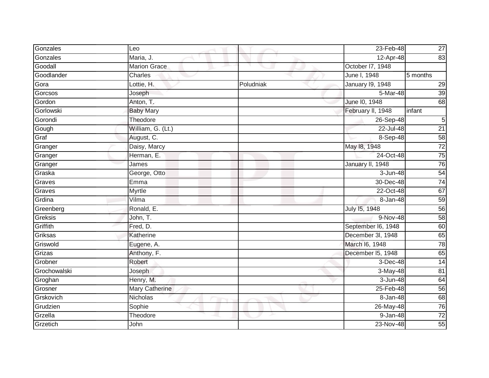| Gonzales     | Leo                 |           | 23-Feb-48               | 27              |
|--------------|---------------------|-----------|-------------------------|-----------------|
| Gonzales     | Maria, J.           |           | 12-Apr-48               | 83              |
| Goodall      | <b>Marion Grace</b> |           | October 17, 1948        |                 |
| Goodlander   | Charles             |           | June I, 1948            | 5 months        |
| Gora         | Lottie, H.          | Poludniak | <b>January 19, 1948</b> | 29              |
| Gorcsos      | Joseph              |           | 5-Mar-48                | 39              |
| Gordon       | Anton, T.           |           | June 10, 1948           | 68              |
| Gorlowski    | <b>Baby Mary</b>    |           | February II, 1948       | infant          |
| Gorondi      | Theodore            |           | 26-Sep-48               | 5               |
| Gough        | William, G. (Lt.)   |           | 22-Jul-48               | $\overline{21}$ |
| Graf         | August, C.          |           | 8-Sep-48                | 58              |
| Granger      | Daisy, Marcy        |           | May 18, 1948            | $\overline{72}$ |
| Granger      | Herman, E.          |           | 24-Oct-48               | $\overline{75}$ |
| Granger      | James               |           | January II, 1948        | 76              |
| Graska       | George, Otto        |           | 3-Jun-48                | 54              |
| Graves       | Emma                |           | 30-Dec-48               | $\overline{74}$ |
| Graves       | <b>Myrtle</b>       |           | 22-Oct-48               | 67              |
| Grdina       | Vilma               |           | 8-Jan-48                | 59              |
| Greenberg    | Ronald, E.          |           | July 15, 1948           | 56              |
| Greksis      | John, T.            |           | 9-Nov-48                | 58              |
| Griffith     | Fred, D.            |           | September I6, 1948      | 60              |
| Griksas      | Katherine           |           | December 3l, 1948       | 65              |
| Griswold     | Eugene, A.          |           | March I6, 1948          | 78              |
| Grizas       | Anthony, F.         |           | December I5, 1948       | 65              |
| Grobner      | Robert              |           | 3-Dec-48                | 14              |
| Grochowalski | Joseph              |           | $3-May-48$              | 81              |
| Groghan      | Henry, M.           |           | $3 - Jun-48$            | 64              |
| Grosner      | Mary Catherine      |           | 25-Feb-48               | 56              |
| Grskovich    | Nicholas            |           | 8-Jan-48                | 68              |
| Grudzien     | Sophie              |           | 26-May-48               | 76              |
| Grzella      | Theodore            |           | 9-Jan-48                | $\overline{72}$ |
| Grzetich     | John                |           | 23-Nov-48               | 55              |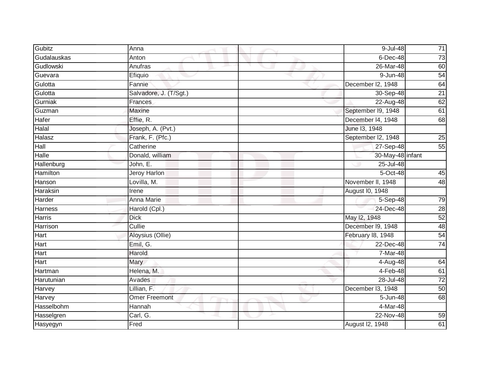| Gubitz         | Anna                   | 9-Jul-48           | $71$            |
|----------------|------------------------|--------------------|-----------------|
| Gudalauskas    | Anton                  | $6$ -Dec-48        | 73              |
| Gudlowski      | Anufras                | 26-Mar-48          | 60              |
| Guevara        | Efiquio                | 9-Jun-48           | 54              |
| Gulotta        | Fannie                 | December I2, 1948  | 64              |
| Gulotta        | Salvadore, J. (T/Sgt.) | 30-Sep-48          | $\overline{21}$ |
| Gurniak        | Frances                | 22-Aug-48          | 62              |
| Guzman         | Maxine                 | September I9, 1948 | 61              |
| Hafer          | Effie, R.              | December 14, 1948  | 68              |
| Halal          | Joseph, A. (Pvt.)      | June 13, 1948      |                 |
| Halasz         | Frank, F. (Pfc.)       | September I2, 1948 | 25              |
| Hall           | Catherine              | 27-Sep-48          | 55              |
| Halle          | Donald, william        | 30-May-48 infant   |                 |
| Hallenburg     | John, E.               | 25-Jul-48          |                 |
| Hamilton       | Jeroy Harlon           | $5$ -Oct-48        | 45              |
| Hanson         | Lovilla, M.            | November II, 1948  | 48              |
| Haraksin       | Irene                  | August I0, 1948    |                 |
| Harder         | Anna Marie             | 5-Sep-48           | 79              |
| <b>Harness</b> | Harold (Cpl.)          | 24-Dec-48          | 28              |
| <b>Harris</b>  | <b>Dick</b>            | May 12, 1948       | $\overline{52}$ |
| Harrison       | Cullie                 | December I9, 1948  | 48              |
| Hart           | Aloysius (Ollie)       | February 18, 1948  | $\overline{54}$ |
| Hart           | Emil, G.               | 22-Dec-48          | $\overline{74}$ |
| Hart           | Harold                 | 7-Mar-48           |                 |
| Hart           | Mary                   | 4-Aug-48           | 64              |
| Hartman        | Helena, M.             | 4-Feb-48           | 61              |
| Harutunian     | Avades                 | 28-Jul-48          | 72              |
| Harvey         | Lillian, F.            | December I3, 1948  | 50              |
| Harvey         | <b>Omer Freemont</b>   | 5-Jun-48           | 68              |
| Hasselbohm     | Hannah                 | 4-Mar-48           |                 |
| Hasselgren     | Carl, G.               | 22-Nov-48          | 59              |
| Hasyegyn       | Fred                   | August I2, 1948    | $\overline{61}$ |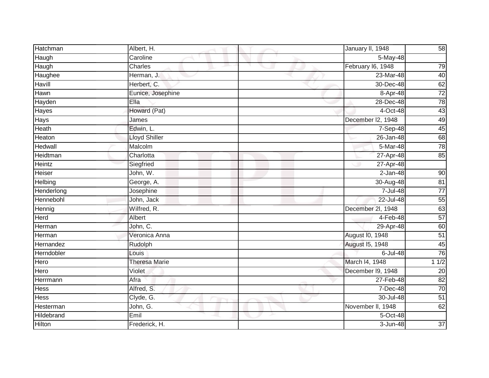| Hatchman      | Albert, H.           | January II, 1948  | 58              |
|---------------|----------------------|-------------------|-----------------|
| Haugh         | Caroline             | 5-May-48          |                 |
| Haugh         | Charles              | February I6, 1948 | 79              |
| Haughee       | Herman, J.           | 23-Mar-48         | 40              |
| Havill        | Herbert, C.          | 30-Dec-48         | 62              |
| Hawn          | Eunice, Josephine    | 8-Apr-48          | $\overline{72}$ |
| Hayden        | Ella                 | 28-Dec-48         | 78              |
| Hayes         | Howard (Pat)         | 4-Oct-48          | 43              |
| Hays          | James                | December I2, 1948 | 49              |
| Heath         | Edwin, L.            | 7-Sep-48          | 45              |
| Heaton        | <b>Lloyd Shiller</b> | 26-Jan-48         | 68              |
| Hedwall       | Malcolm              | 5-Mar-48          | 78              |
| Heidtman      | Charlotta            | 27-Apr-48         | 85              |
| Heintz        | Siegfried            | 27-Apr-48         |                 |
| Heiser        | John, W.             | $2-Jan-48$        | 90              |
| Helbing       | George, A.           | 30-Aug-48         | $\overline{81}$ |
| Henderlong    | Josephine            | 7-Jul-48          | $\overline{77}$ |
| Hennebohl     | John, Jack           | 22-Jul-48         | 55              |
| Hennig        | Wilfred, R.          | December 2l, 1948 | 63              |
| Herd          | Albert               | $4-Feb-48$        | 57              |
| Herman        | John, C.             | 29-Apr-48         | 60              |
| Herman        | Veronica Anna        | August I0, 1948   | $\overline{51}$ |
| Hernandez     | Rudolph              | August 15, 1948   | 45              |
| Herndobler    | Louis                | $6$ -Jul-48       | 76              |
| Hero          | <b>Theresa Marie</b> | March I4, 1948    | 11/2            |
| Hero          | Violet               | December I9, 1948 | $\overline{20}$ |
| Herrmann      | Afra                 | 27-Feb-48         | 82              |
| <b>Hess</b>   | Alfred, S.           | 7-Dec-48          | 70              |
| <b>Hess</b>   | Clyde, G.            | 30-Jul-48         | 51              |
| Hesterman     | John, G.             | November II, 1948 | 62              |
| Hildebrand    | Emil                 | 5-Oct-48          |                 |
| <b>Hilton</b> | Frederick, H.        | $3 - Jun-48$      | 37              |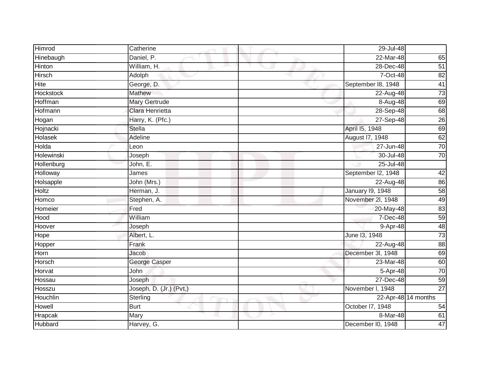| Himrod         | Catherine               | 29-Jul-48          |                     |
|----------------|-------------------------|--------------------|---------------------|
|                |                         |                    |                     |
| Hinebaugh      | Daniel, P.              | $22-Mar-48$        | 65                  |
| Hinton         | William, H.             | 28-Dec-48          | 51                  |
| Hirsch         | Adolph                  | 7-Oct-48           | 82                  |
| Hite           | George, D.              | September 18, 1948 | 41                  |
| Hockstock      | <b>Mathew</b>           | 22-Aug-48          | $\overline{73}$     |
| <b>Hoffman</b> | Mary Gertrude           | 8-Aug-48           | 69                  |
| Hofmann        | Clara Henrietta         | 28-Sep-48          | 68                  |
| Hogan          | Harry, K. (Pfc.)        | $27-$ Sep-48       | 26                  |
| Hojnacki       | <b>Stella</b>           | April 15, 1948     | 69                  |
| Holasek        | Adeline                 | August 17, 1948    | 62                  |
| Holda          | Leon                    | 27-Jun-48          | 70                  |
| Holewinski     | Joseph                  | 30-Jul-48          | 70                  |
| Hollenburg     | John, E.                | 25-Jul-48          |                     |
| Holloway       | James                   | September I2, 1948 | 42                  |
| Holsapple      | John (Mrs.)             | 22-Aug-48          | 86                  |
| <b>Holtz</b>   | Herman, J.              | January 19, 1948   | 58                  |
| Homco          | Stephen, A.             | November 2I, 1948  | 49                  |
| Homeier        | Fred                    | 20-May-48          | 83                  |
| Hood           | William                 | 7-Dec-48           | $\overline{59}$     |
| Hoover         | Joseph                  | 9-Apr-48           | 48                  |
| Hope           | Albert, L.              | June 13, 1948      | $\overline{73}$     |
| Hopper         | Frank                   | 22-Aug-48          | 88                  |
| Horn           | Jacob                   | December 3l, 1948  | 69                  |
| Horsch         | George Casper           | 23-Mar-48          | 60                  |
| Horvat         | John                    | 5-Apr-48           | 70                  |
| Hossau         | Joseph                  | 27-Dec-48          | 59                  |
| Hosszu         | Joseph, D. (Jr.) (Pvt.) | November I, 1948   | $\overline{27}$     |
| Houchlin       | Sterling                |                    | 22-Apr-48 14 months |
| Howell         | <b>Burt</b>             | October I7, 1948   | 54                  |
| Hrapcak        | Mary                    | 8-Mar-48           | 61                  |
| Hubbard        | Harvey, G.              | December I0, 1948  | 47                  |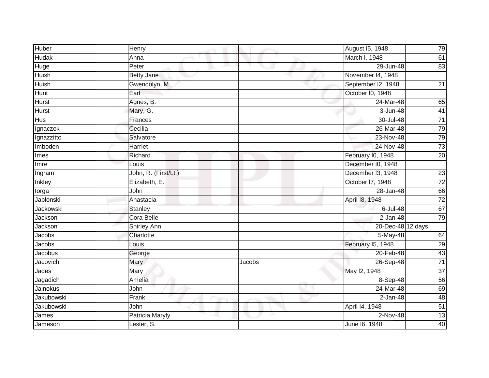| Huber            | Henry                |        | August 15, 1948    | 79              |
|------------------|----------------------|--------|--------------------|-----------------|
| <b>Hudak</b>     | Anna                 |        | March I, 1948      | 61              |
| Huge             | Peter                |        | 29-Jun-48          | 83              |
| Huish            | <b>Betty Jane</b>    |        | November 14, 1948  |                 |
| <b>Huish</b>     | Gwendolyn, M.        |        | September I2, 1948 | $\overline{21}$ |
| Hunt             | Earl                 |        | October I0, 1948   |                 |
| <b>Hurst</b>     | Agnes, B.            |        | $24$ -Mar-48       | 65              |
| <b>Hurst</b>     | Mary, G.             |        | 3-Jun-48           | 41              |
| <b>Hus</b>       | Frances              |        | 30-Jul-48          | $\overline{71}$ |
| Ignaczek         | Cecilia              |        | 26-Mar-48          | 79              |
| Ignazzitto       | Salvatore            |        | 23-Nov-48          | 79              |
| Imboden          | Harriet              |        | 24-Nov-48          | 73              |
| Imes             | Richard              |        | February I0, 1948  | 20              |
| Imre             | Louis                |        | December I0, 1948  |                 |
| Ingram           | John, R. (First/Lt.) |        | December I3, 1948  | 23              |
| Inkley           | Elizabeth, E.        |        | October 17, 1948   | 72              |
| lorga            | John                 |        | 28-Jan-48          | 66              |
| Jablonski        | Anastacia            |        | April 18, 1948     | $\overline{72}$ |
| <b>Jackowski</b> | Stanley              |        | 6-Jul-48           | 67              |
| Jackson          | Cora Belle           |        | $2-Jan-48$         | 79              |
| Jackson          | Shirley Ann          |        | 20-Dec-48 12 days  |                 |
| Jacobs           | Charlotte            |        | 5-May-48           | 64              |
| Jacobs           | Louis                |        | February 15, 1948  | 29              |
| Jacobus          | George               |        | 20-Feb-48          | 43              |
| Jacovich         | Mary                 | Jacobs | 26-Sep-48          | $\overline{71}$ |
| Jades            | Mary                 |        | May 12, 1948       | $\overline{37}$ |
| Jagadich         | Amelia               |        | 8-Sep-48           | 56              |
| Jainokus         | John                 |        | 24-Mar-48          | 69              |
| Jakubowski       | Frank                |        | $2-Jan-48$         | 48              |
| Jakubowski       | John                 |        | April 14, 1948     | 51              |
| James            | Patricia Maryly      |        | 2-Nov-48           | 13              |
| Jameson          | Lester, S.           |        | June 16, 1948      | 40              |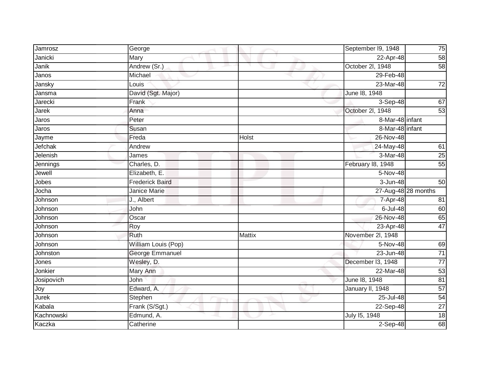| Jamrosz      | George                 |               | September I9, 1948 | 75                  |
|--------------|------------------------|---------------|--------------------|---------------------|
| Janicki      | Mary                   |               | 22-Apr-48          | 58                  |
| Janik        | Andrew (Sr.)           |               | October 2l, 1948   | 58                  |
| Janos        | Michael                |               | 29-Feb-48          |                     |
| Jansky       | Louis                  |               | 23-Mar-48          | $\overline{72}$     |
| Jansma       | David (Sgt. Major)     |               | June 18, 1948      |                     |
| Jarecki      | Frank                  |               | 3-Sep-48           | 67                  |
| <b>Jarek</b> | Anna                   |               | October 2l, 1948   | 53                  |
| Jaros        | Peter                  |               | 8-Mar-48 infant    |                     |
| Jaros        | Susan                  |               | 8-Mar-48 infant    |                     |
| Jayme        | Freda                  | Holst         | 26-Nov-48          |                     |
| Jefchak      | Andrew                 |               | 24-May-48          | 61                  |
| Jelenish     | James                  |               | 3-Mar-48           | 25                  |
| Jennings     | Charles, D.            |               | February 18, 1948  | 55                  |
| Jewell       | Elizabeth, E.          |               | 5-Nov-48           |                     |
| Jobes        | <b>Frederick Baird</b> |               | 3-Jun-48           | 50                  |
| Jocha        | Janice Marie           |               |                    | 27-Aug-48 28 months |
| Johnson      | J., Albert             |               | 7-Apr-48           | 81                  |
| Johnson      | John                   |               | 6-Jul-48           | 60                  |
| Johnson      | Oscar                  |               | 26-Nov-48          | 65                  |
| Johnson      | Roy                    |               | 23-Apr-48          | 47                  |
| Johnson      | Ruth                   | <b>Mattix</b> | November 2I, 1948  |                     |
| Johnson      | William Louis (Pop)    |               | 5-Nov-48           | 69                  |
| Johnston     | George Emmanuel        |               | 23-Jun-48          | $\overline{71}$     |
| Jones        | Wesley, D.             |               | December I3, 1948  | $\overline{77}$     |
| Jonkier      | Mary Ann               |               | 22-Mar-48          | 53                  |
| Josipovich   | <b>John</b>            |               | June 18, 1948      | 81                  |
| Joy          | Edward, A.             |               | January II, 1948   | 57                  |
| Jurek        | Stephen                |               | 25-Jul-48          | 54                  |
| Kabala       | Frank (S/Sgt.)         |               | 22-Sep-48          | $\overline{27}$     |
| Kachnowski   | Edmund, A.             |               | July 15, 1948      | 18                  |
| Kaczka       | Catherine              |               | $2-Sep-48$         | 68                  |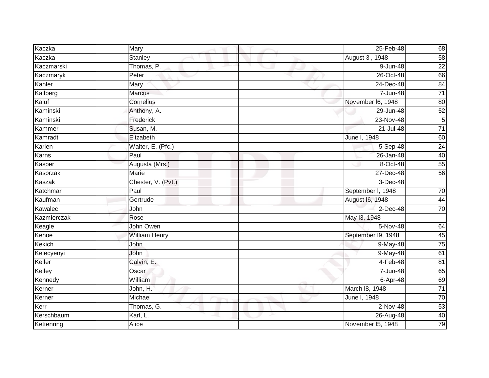| Kaczka      | Mary                 | 25-Feb-48          | 68              |
|-------------|----------------------|--------------------|-----------------|
| Kaczka      | Stanley              | August 3I, 1948    | 58              |
| Kaczmarski  | Thomas, P.           | $9 - Jun-48$       | $\overline{22}$ |
| Kaczmaryk   | Peter                | 26-Oct-48          | 66              |
| Kahler      | Mary                 | 24-Dec-48          | 84              |
| Kallberg    | <b>Marcus</b>        | 7-Jun-48           | $\overline{71}$ |
| Kaluf       | Cornelius            | November I6, 1948  | 80              |
| Kaminski    | Anthony, A.          | 29-Jun-48          | 52              |
| Kaminski    | Frederick            | 23-Nov-48          | $\overline{5}$  |
| Kammer      | Susan, M.            | $21 -$ Jul-48      | $\overline{71}$ |
| Kamradt     | Elizabeth            | June I, 1948       | 60              |
| Karlen      | Walter, E. (Pfc.)    | 5-Sep-48           | $\overline{24}$ |
| Karns       | Paul                 | 26-Jan-48          | 40              |
| Kasper      | Augusta (Mrs.)       | 8-Oct-48           | 55              |
| Kasprzak    | <b>Marie</b>         | 27-Dec-48          | 56              |
| Kaszak      | Chester, V. (Pvt.)   | 3-Dec-48           |                 |
| Katchmar    | Paul                 | September I, 1948  | 70              |
| Kaufman     | Gertrude             | August 16, 1948    | 44              |
| Kawalec     | John                 | $2$ -Dec-48        | 70              |
| Kazmierczak | Rose                 | May 13, 1948       |                 |
| Keagle      | John Owen            | 5-Nov-48           | 64              |
| Kehoe       | <b>William Henry</b> | September 19, 1948 | 45              |
| Kekich      | John                 | 9-May-48           | $\overline{75}$ |
| Kelecyenyi  | John                 | 9-May-48           | 61              |
| Keller      | Calvin, E.           | 4-Feb-48           | 81              |
| Kelley      | Oscar                | 7-Jun-48           | 65              |
| Kennedy     | William              | 6-Apr-48           | 69              |
| Kerner      | John, H.             | March 18, 1948     | $\overline{71}$ |
| Kerner      | Michael              | June I, 1948       | 70              |
| Kerr        | Thomas, G.           | 2-Nov-48           | 53              |
| Kerschbaum  | Karl, L.             | 26-Aug-48          | 40              |
| Kettenring  | <b>Alice</b>         | November 15, 1948  | 79              |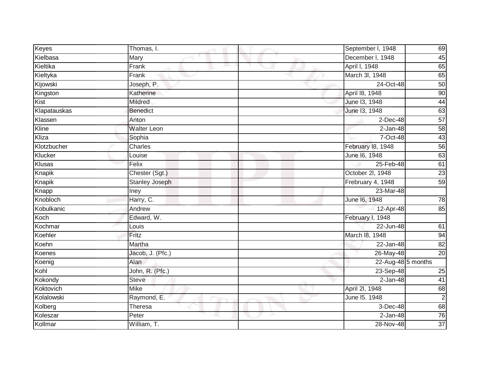| Keyes        | Thomas, I.            | September I, 1948  | 69              |
|--------------|-----------------------|--------------------|-----------------|
| Kielbasa     | Mary                  | December I, 1948   | 45              |
| Kieltika     | Frank                 | April I, 1948      | 65              |
| Kieltyka     | Frank                 | March 3I, 1948     | 65              |
| Kijowski     | Joseph, P.            | 24-Oct-48          | 50              |
| Kingston     | Katherine             | April 18, 1948     | 90              |
| Kist         | Mildred               | June 13, 1948      | 44              |
| Klapatauskas | Benedict              | June 13, 1948      | 63              |
| Klassen      | Anton                 | $2$ -Dec-48        | 57              |
| Kline        | <b>Walter Leon</b>    | $2-Jan-48$         | 58              |
| Kliza        | Sophia                | 7-Oct-48           | 43              |
| Klotzbucher  | Charles               | February 18, 1948  | 56              |
| Klucker      | Louise                | June 16, 1948      | 63              |
| Klusas       | Felix                 | 25-Feb-48          | 61              |
| Knapik       | Chester (Sgt.)        | October 2l, 1948   | 23              |
| Knapik       | <b>Stanley Joseph</b> | Frebruary 4, 1948  | 59              |
| Knapp        | <b>Iney</b>           | 23-Mar-48          |                 |
| Knobloch     | Harry, C.             | June 16, 1948      | 78              |
| Kobulkanic   | Andrew                | 12-Apr-48          | 85              |
| Koch         | Edward, W.            | February I, 1948   |                 |
| Kochmar      | Louis                 | 22-Jun-48          | 61              |
| Koehler      | Fritz                 | March 18, 1948     | 94              |
| Koehn        | Martha                | 22-Jan-48          | 82              |
| Koenes       | Jacob, J. (Pfc.)      | 26-May-48          | $\overline{20}$ |
| Koenig       | Alan                  | 22-Aug-48 5 months |                 |
| Kohl         | John, R. (Pfc.)       | $23-Sep-48$        | 25              |
| Kokondy      | <b>Steve</b>          | $2-Jan-48$         | 41              |
| Koktovich    | Mike                  | April 2I, 1948     | 68              |
| Kolalowski   | Raymond, E.           | June 15. 1948      | $\overline{2}$  |
| Kolberg      | Theresa               | 3-Dec-48           | 68              |
| Koleszar     | Peter                 | $2-Jan-48$         | 76              |
| Kollmar      | William, T.           | 28-Nov-48          | 37              |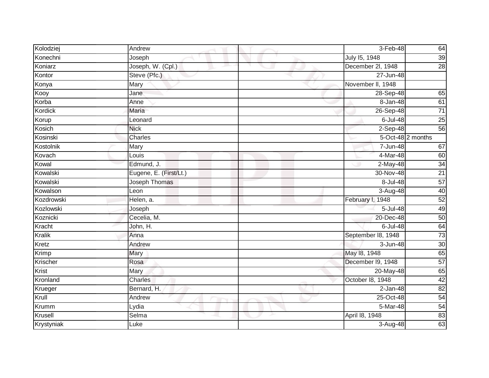| Kolodziej     | Andrew                 | 3-Feb-48           | 64              |
|---------------|------------------------|--------------------|-----------------|
| Konechni      | Joseph                 | July 15, 1948      | 39              |
| Koniarz       | Joseph, W. (Cpl.)      | December 2l, 1948  | $\overline{28}$ |
| Kontor        | Steve (Pfc.)           | 27-Jun-48          |                 |
| Konya         | Mary                   | November II, 1948  |                 |
| Kooy          | Jane                   | 28-Sep-48          | 65              |
| Korba         | Anne                   | 8-Jan-48           | 61              |
| Kordick       | <b>Maria</b>           | 26-Sep-48          | $\overline{71}$ |
| Korup         | Leonard                | 6-Jul-48           | 25              |
| Kosich        | <b>Nick</b>            | $2-$ Sep-48        | 56              |
| Kosinski      | Charles                | 5-Oct-48 2 months  |                 |
| Kostolnik     | Mary                   | 7-Jun-48           | 67              |
| Kovach        | Louis                  | 4-Mar-48           | 60              |
| Kowal         | Edmund, J.             | $2-May-48$         | $\overline{34}$ |
| Kowalski      | Eugene, E. (First/Lt.) | 30-Nov-48          | 21              |
| Kowalski      | Joseph Thomas          | 8-Jul-48           | 57              |
| Kowalson      | Leon                   | 3-Aug-48           | 40              |
| Kozdrowski    | Helen, a.              | February I, 1948   | 52              |
| Kozlowski     | Joseph                 | 5-Jul-48           | 49              |
| Koznicki      | Cecelia, M.            | 20-Dec-48          | 50              |
| Kracht        | John, H.               | $6$ -Jul-48        | 64              |
| <b>Kralik</b> | Anna                   | September 18, 1948 | 73              |
| Kretz         | Andrew                 | 3-Jun-48           | 30              |
| Krimp         | Mary                   | May 18, 1948       | 65              |
| Krischer      | Rosa                   | December I9, 1948  | 57              |
| Krist         | Mary                   | 20-May-48          | 65              |
| Kronland      | Charles                | October 18, 1948   | 42              |
| Krueger       | Bernard, H.            | $2-Jan-48$         | 82              |
| Krull         | Andrew                 | 25-Oct-48          | 54              |
| Krumm         | Lydia                  | 5-Mar-48           | 54              |
| Krusell       | Selma                  | April 18, 1948     | 83              |
| Krystyniak    | Luke                   | $3-Aug-48$         | 63              |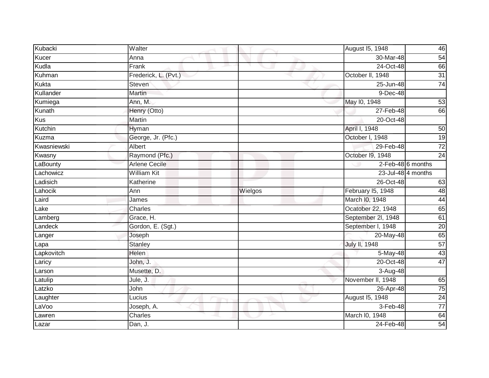| Kubacki     | Walter               |         | August 15, 1948    | 46                 |
|-------------|----------------------|---------|--------------------|--------------------|
| Kucer       | Anna                 |         | 30-Mar-48          | 54                 |
| Kudla       | Frank                |         | 24-Oct-48          | 66                 |
| Kuhman      | Frederick, L. (Pvt.) |         | October II, 1948   | 31                 |
| Kukta       | Steven               |         | 25-Jun-48          | 74                 |
| Kullander   | <b>Martin</b>        |         | 9-Dec-48           |                    |
| Kumiega     | Ann, M.              |         | May 10, 1948       | 53                 |
| Kunath      | Henry (Otto)         |         | 27-Feb-48          | 66                 |
| Kus         | Martin               |         | 20-Oct-48          |                    |
| Kutchin     | Hyman                |         | April I, 1948      | 50                 |
| Kuzma       | George, Jr. (Pfc.)   |         | October I, 1948    | 19                 |
| Kwasniewski | Albert               |         | 29-Feb-48          | $\overline{72}$    |
| Kwasny      | Raymond (Pfc.)       |         | October 19, 1948   | $\overline{24}$    |
| LaBounty    | <b>Arlene Cecile</b> |         |                    | 2-Feb-48 6 months  |
| Lachowicz   | <b>William Kit</b>   |         |                    | 23-Jul-48 4 months |
| Ladisich    | Katherine            |         | 26-Oct-48          | 63                 |
| Lahocik     | Ann                  | Wielgos | February I5, 1948  | 48                 |
| Laird       | James                |         | March I0, 1948     | 44                 |
| Lake        | Charles              |         | Ocatober 22, 1948  | 65                 |
| Lamberg     | Grace, H.            |         | September 2l, 1948 | 61                 |
| Landeck     | Gordon, E. (Sgt.)    |         | September I, 1948  | $\overline{20}$    |
| Langer      | Joseph               |         | 20-May-48          | 65                 |
| Lapa        | Stanley              |         | July II, 1948      | 57                 |
| Lapkovitch  | Helen                |         | 5-May-48           | 43                 |
| Laricy      | John, J.             |         | 20-Oct-48          | $\overline{47}$    |
| Larson      | Musette, D.          |         | 3-Aug-48           |                    |
| Latulip     | Jule, J.             |         | November II, 1948  | 65                 |
| Latzko      | John                 |         | 26-Apr-48          | $\overline{75}$    |
| Laughter    | Lucius               |         | August 15, 1948    | $\overline{24}$    |
| LaVoo       | Joseph, A.           |         | 3-Feb-48           | $\overline{77}$    |
| Lawren      | Charles              |         | March I0, 1948     | 64                 |
| Lazar       | Dan, J.              |         | 24-Feb-48          | $\overline{54}$    |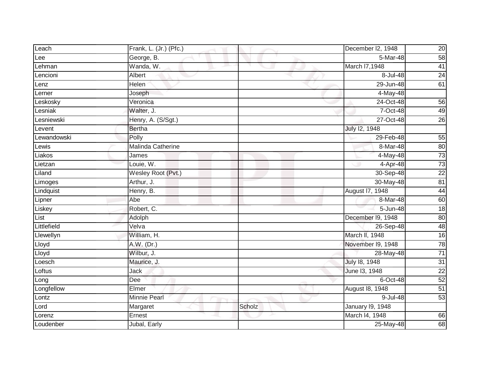| Leach       | Frank, L. (Jr.) (Pfc.) |        | December I2, 1948       | 20              |
|-------------|------------------------|--------|-------------------------|-----------------|
| Lee         | George, B.             |        | 5-Mar-48                | 58              |
| Lehman      | Wanda, W.              |        | March I7,1948           | 41              |
| Lencioni    | Albert                 |        | 8-Jul-48                | 24              |
| Lenz        | Helen                  |        | 29-Jun-48               | 61              |
| Lerner      | Joseph                 |        | 4-May-48                |                 |
| Leskosky    | Veronica               |        | 24-Oct-48               | 56              |
| Lesniak     | Walter, J.             |        | 7-Oct-48                | 49              |
| Lesniewski  | Henry, A. (S/Sgt.)     |        | 27-Oct-48               | 26              |
| Levent      | <b>Bertha</b>          |        | July 12, 1948           |                 |
| Lewandowski | Polly                  |        | 29-Feb-48               | 55              |
| Lewis       | Malinda Catherine      |        | 8-Mar-48                | 80              |
| Liakos      | James                  |        | 4-May-48                | 73              |
| Lietzan     | Louie, W.              |        | 4-Apr-48                | 73              |
| Liland      | Wesley Root (Pvt.)     |        | 30-Sep-48               | $\overline{22}$ |
| Limoges     | Arthur, J.             |        | 30-May-48               | 81              |
| Lindquist   | Henry, B.              |        | August 17, 1948         | 44              |
| Lipner      | Abe                    |        | 8-Mar-48                | 60              |
| Liskey      | Robert, C.             |        | $\overline{5}$ -Jun-48  | 18              |
| List        | Adolph                 |        | December 19, 1948       | 80              |
| Littlefield | Velva                  |        | 26-Sep-48               | 48              |
| Llewellyn   | William, H.            |        | March II, 1948          | $\overline{16}$ |
| Lloyd       | A.W. (Dr.)             |        | November I9, 1948       | 78              |
| Lloyd       | Wilbur, J.             |        | 28-May-48               | 71              |
| Loesch      | Maurice, J.            |        | July 18, 1948           | $\overline{31}$ |
| Loftus      | Jack                   |        | June 13, 1948           | $\overline{22}$ |
| Long        | Dee                    |        | $6$ -Oct-48             | $\overline{52}$ |
| Longfellow  | Elmer                  |        | August 18, 1948         | 51              |
| Lontz       | Minnie Pearl           |        | 9-Jul-48                | 53              |
| Lord        | Margaret               | Scholz | <b>January 19, 1948</b> |                 |
| Lorenz      | Ernest                 |        | March I4, 1948          | 66              |
| Loudenber   | Jubal, Early           |        | 25-May-48               | 68              |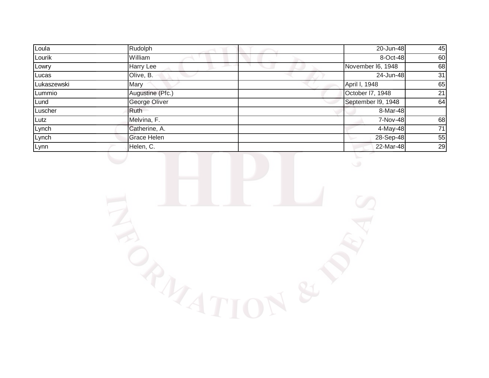| Loula       | Rudolph          | 20-Jun-48          | 45 |
|-------------|------------------|--------------------|----|
| Lourik      | William          | 8-Oct-48           | 60 |
| Lowry       | Harry Lee        | November I6, 1948  | 68 |
| Lucas       | Olive, B.        | 24-Jun-48          | 31 |
| Lukaszewski | Mary             | April I, 1948      | 65 |
| Lummio      | Augustine (Pfc.) | October I7, 1948   | 21 |
| Lund        | George Oliver    | September I9, 1948 | 64 |
| Luscher     | Ruth             | 8-Mar-48           |    |
| Lutz        | Melvina, F.      | 7-Nov-48           | 68 |
| Lynch       | Catherine, A.    | 4-May-48           | 71 |
| Lynch       | Grace Helen      | 28-Sep-48          | 55 |
| Lynn        | Helen, C.        | 22-Mar-48          | 29 |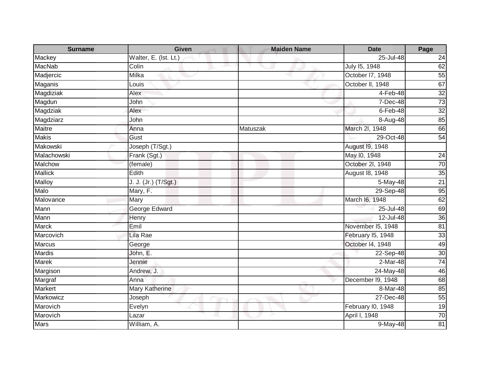| <b>Surname</b> | <b>Given</b>                 | <b>Maiden Name</b> | <b>Date</b>       | Page            |
|----------------|------------------------------|--------------------|-------------------|-----------------|
| Mackey         | Walter, E. (Ist. Lt.)        |                    | 25-Jul-48         | 24              |
| <b>MacNab</b>  | Colin                        |                    | July 15, 1948     | 62              |
| Madjercic      | Milka                        |                    | October 17, 1948  | 55              |
| Maganis        | Louis                        |                    | October II, 1948  | 67              |
| Magdiziak      | Alex                         |                    | 4-Feb-48          | 32              |
| Magdun         | John                         |                    | 7-Dec-48          | 73              |
| Magdziak       | Alex                         |                    | $6$ -Feb-48       | $\overline{32}$ |
| Magdziarz      | John                         |                    | 8-Aug-48          | $\overline{85}$ |
| <b>Maitre</b>  | Anna                         | Matuszak           | March 2I, 1948    | 66              |
| <b>Makis</b>   | Gust                         |                    | 29-Oct-48         | $\overline{54}$ |
| Makowski       | Joseph (T/Sgt.)              |                    | August 19, 1948   |                 |
| Malachowski    | Frank (Sgt.)                 |                    | May 10, 1948      | 24              |
| <b>Malchow</b> | $\overline{(\text{female})}$ |                    | October 2l, 1948  | 70              |
| <b>Mallick</b> | Edith                        |                    | August 18, 1948   | 35              |
| Malloy         | J. J. (Jr.) (T/Sgt.)         |                    | 5-May-48          | 21              |
| Malo           | Mary, F.                     |                    | 29-Sep-48         | 95              |
| Malovance      | Mary                         |                    | March I6, 1948    | 62              |
| Mann           | George Edward                |                    | 25-Jul-48         | 69              |
| Mann           | Henry                        |                    | $12 -$ Jul-48     | 36              |
| <b>Marck</b>   | Emil                         |                    | November I5, 1948 | 81              |
| Marcovich      | Lila Rae                     |                    | February I5, 1948 | 33              |
| <b>Marcus</b>  | George                       |                    | October 14, 1948  | 49              |
| Mardis         | John, E.                     |                    | 22-Sep-48         | 30              |
| Marek          | Jennie                       |                    | $2-Mar-48$        | 74              |
| Margison       | Andrew, J.                   |                    | $24$ -May-48      | 46              |
| Margraf        | Anna                         |                    | December I9, 1948 | 68              |
| <b>Markert</b> | Mary Katherine               |                    | 8-Mar-48          | $\overline{8}$  |
| Markowicz      | Joseph                       |                    | 27-Dec-48         | 55              |
| Marovich       | Evelyn                       |                    | February I0, 1948 | $\overline{19}$ |
| Marovich       | Lazar                        |                    | April I, 1948     | 70              |
| Mars           | William, A.                  |                    | 9-May-48          | 81              |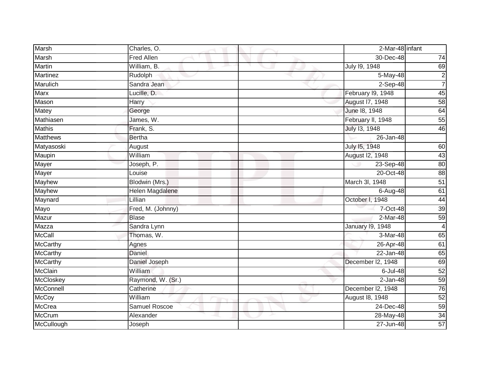| <b>Marsh</b>    | Charles, O.            | 2-Mar-48 infant   |                 |
|-----------------|------------------------|-------------------|-----------------|
| Marsh           | <b>Fred Allen</b>      | 30-Dec-48         | 74              |
| <b>Martin</b>   | William, B.            | July 19, 1948     | 69              |
| <b>Martinez</b> | Rudolph                | 5-May-48          | $\frac{2}{7}$   |
| Marulich        | Sandra Jean            | $2-Sep-48$        |                 |
| <b>Marx</b>     | Lucille, D.            | February I9, 1948 | 45              |
| Mason           | Harry                  | August 17, 1948   | 58              |
| Matey           | George                 | June 18, 1948     | 64              |
| Mathiasen       | James, W.              | February II, 1948 | 55              |
| <b>Mathis</b>   | Frank, S.              | July 13, 1948     | 46              |
| <b>Matthews</b> | <b>Bertha</b>          | 26-Jan-48         |                 |
| Matyasoski      | August                 | July 15, 1948     | 60              |
| Maupin          | William                | August I2, 1948   | 43              |
| <b>Mayer</b>    | Joseph, P.             | $23$ -Sep-48      | 80              |
| <b>Mayer</b>    | Louise                 | 20-Oct-48         | 88              |
| Mayhew          | Blodwin (Mrs.)         | March 3I, 1948    | 51              |
| <b>Mayhew</b>   | <b>Helen Magdalene</b> | 6-Aug-48          | 61              |
| Maynard         | Lillian                | October I, 1948   | 44              |
| Mayo            | Fred, M. (Johnny)      | 7-Oct-48          | 39              |
| Mazur           | <b>Blase</b>           | $2-Mar-48$        | $\overline{59}$ |
| Mazza           | Sandra Lynn            | January 19, 1948  | 4               |
| <b>McCall</b>   | Thomas, W.             | 3-Mar-48          | 65              |
| McCarthy        | Agnes                  | 26-Apr-48         | 61              |
| McCarthy        | Daniel                 | 22-Jan-48         | 65              |
| McCarthy        | Daniel Joseph          | December I2, 1948 | 69              |
| <b>McClain</b>  | William                | 6-Jul-48          | 52              |
| McCloskey       | Raymond, W. (Sr.)      | $2-Jan-48$        | 59              |
| McConnell       | Catherine              | December I2, 1948 | 76              |
| <b>McCoy</b>    | William                | August 18, 1948   | 52              |
| <b>McCrea</b>   | Samuel Roscoe          | $24$ -Dec-48      | 59              |
| <b>McCrum</b>   | Alexander              | 28-May-48         | $\overline{34}$ |
| McCullough      | Joseph                 | 27-Jun-48         | $\overline{57}$ |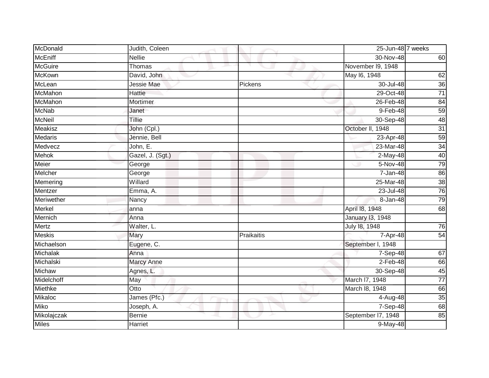| McDonald       | Judith, Coleen    |            | 25-Jun-48 7 weeks       |                 |
|----------------|-------------------|------------|-------------------------|-----------------|
| <b>McEniff</b> | <b>Nellie</b>     |            | 30-Nov-48               | 60              |
| <b>McGuire</b> | Thomas            |            | November 19, 1948       |                 |
| <b>McKown</b>  | David, John       |            | May 16, 1948            | 62              |
| McLean         | Jessie Mae        | Pickens    | 30-Jul-48               | 36              |
| McMahon        | Hattie            |            | 29-Oct-48               | $\overline{71}$ |
| McMahon        | Mortimer          |            | 26-Feb-48               | 84              |
| <b>McNab</b>   | Janet             |            | 9-Feb-48                | 59              |
| <b>McNeil</b>  | Tillie            |            | 30-Sep-48               | 48              |
| Meakisz        | John (Cpl.)       |            | October II, 1948        | 31              |
| <b>Medaris</b> | Jennie, Bell      |            | 23-Apr-48               | 59              |
| Medvecz        | John, E.          |            | 23-Mar-48               | 34              |
| <b>Mehok</b>   | Gazel, J. (Sgt.)  |            | 2-May-48                | 40              |
| Meier          | George            |            | $5-Nov-48$              | 79              |
| Melcher        | George            |            | $7 - Jan-48$            | 86              |
| Memering       | Willard           |            | 25-Mar-48               | 38              |
| Mentzer        | Emma, A.          |            | 23-Jul-48               | 76              |
| Meriwether     | Nancy             |            | 8-Jan-48                | 79              |
| Merkel         | anna              |            | April 18, 1948          | 68              |
| Mernich        | Anna              |            | <b>January 13, 1948</b> |                 |
| Mertz          | Walter, L.        |            | July 18, 1948           | 76              |
| <b>Meskis</b>  | Mary              | Praikaitis | $7-Apr-48$              | $\overline{54}$ |
| Michaelson     | Eugene, C.        |            | September I, 1948       |                 |
| Michalak       | Anna              |            | 7-Sep-48                | 67              |
| Michalski      | <b>Marcy Anne</b> |            | $2-Feb-48$              | 66              |
| Michaw         | Agnes, L.         |            | 30-Sep-48               | 45              |
| Midelchoff     | May               |            | March I7, 1948          | $\overline{77}$ |
| Miethke        | Otto              |            | March 18, 1948          | 66              |
| Mikaloc        | James (Pfc.)      |            | 4-Aug-48                | 35              |
| <b>Miko</b>    | Joseph, A.        |            | 7-Sep-48                | 68              |
| Mikolajczak    | <b>Bernie</b>     |            | September I7, 1948      | 85              |
| <b>Miles</b>   | <b>Harriet</b>    |            | 9-May-48                |                 |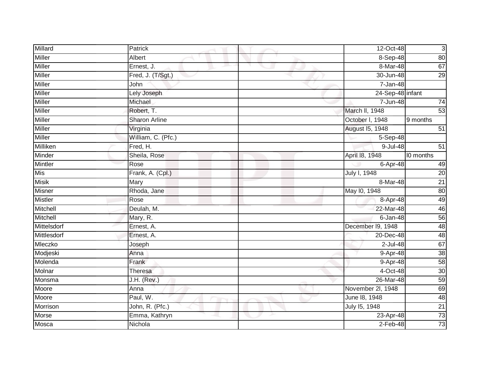| Millard        | Patrick              | 12-Oct-48         | $\mathbf{3}$    |
|----------------|----------------------|-------------------|-----------------|
| <b>Miller</b>  | Albert               | $8-$ Sep-48       | 80              |
| <b>Miller</b>  | Ernest, J.           | 8-Mar-48          | 67              |
| <b>Miller</b>  | Fred, J. (T/Sgt.)    | 30-Jun-48         | 29              |
| <b>Miller</b>  | John                 | 7-Jan-48          |                 |
| <b>Miller</b>  | Lely Joseph          | 24-Sep-48 infant  |                 |
| <b>Miller</b>  | Michael              | 7-Jun-48          | 74              |
| Miller         | Robert, T.           | March II, 1948    | 53              |
| Miller         | <b>Sharon Arline</b> | October I, 1948   | 9 months        |
| <b>Miller</b>  | Virginia             | August 15, 1948   | $\overline{51}$ |
| Miller         | William, C. (Pfc.)   | 5-Sep-48          |                 |
| Milliken       | Fred, H.             | $9 -$ Jul-48      | $\overline{51}$ |
| Minder         | Sheila, Rose         | April 18, 1948    | I0 months       |
| <b>Mintler</b> | Rose                 | 6-Apr-48          | 49              |
| Mis            | Frank, A. (Cpl.)     | July I, 1948      | $\overline{20}$ |
| <b>Misik</b>   | Mary                 | 8-Mar-48          | $\overline{21}$ |
| <b>Misner</b>  | Rhoda, Jane          | May 10, 1948      | 80              |
| <b>Mistler</b> | Rose                 | 8-Apr-48          | 49              |
| Mitchell       | Deulah, M.           | 22-Mar-48         | 46              |
| Mitchell       | Mary, R.             | $6 - Jan-48$      | 56              |
| Mittelsdorf    | Ernest, A.           | December 19, 1948 | 48              |
| Mittlesdorf    | Ernest, A.           | 20-Dec-48         | 48              |
| Mleczko        | Joseph               | $2$ -Jul-48       | 67              |
| Modjeski       | Anna                 | 9-Apr-48          | $\overline{38}$ |
| Molenda        | Frank                | 9-Apr-48          | 58              |
| Molnar         | Theresa              | 4-Oct-48          | 30              |
| Monsma         | $J.H.$ (Rev.)        | 26-Mar-48         | 59              |
| Moore          | Anna                 | November 2l, 1948 | 69              |
| Moore          | Paul, W.             | June 18, 1948     | 48              |
| Morrison       | John, R. (Pfc.)      | July 15, 1948     | $\overline{21}$ |
| Morse          | Emma, Kathryn        | 23-Apr-48         | 73              |
| Mosca          | Nichola              | $2$ -Feb-48       | 73              |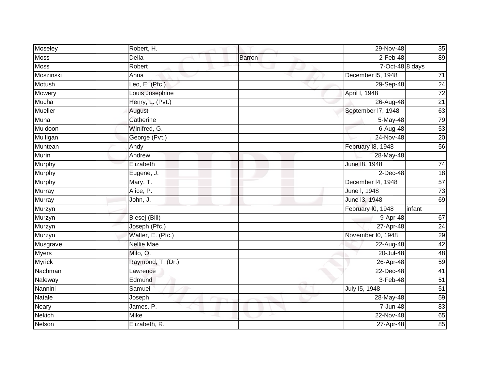| Moseley        | Robert, H.        |        | 29-Nov-48          | 35              |
|----------------|-------------------|--------|--------------------|-----------------|
| <b>Moss</b>    | Della             | Barron | $2-Feb-48$         | 89              |
| <b>Moss</b>    | Robert            |        | 7-Oct-48 8 days    |                 |
| Moszinski      | Anna              |        | December I5, 1948  | $71$            |
| Motush         | Leo, E. $(Pfc.)$  |        | 29-Sep-48          | 24              |
| Mowery         | Louis Josephine   |        | April I, 1948      | $\overline{72}$ |
| Mucha          | Henry, L. (Pvt.)  |        | 26-Aug-48          | $\overline{21}$ |
| <b>Mueller</b> | August            |        | September I7, 1948 | 63              |
| Muha           | Catherine         |        | 5-May-48           | 79              |
| Muldoon        | Winifred, G.      |        | 6-Aug-48           | $\overline{53}$ |
| Mulligan       | George (Pvt.)     |        | $24-Nov-48$        | 20              |
| Muntean        | Andy              |        | February 18, 1948  | 56              |
| Murin          | Andrew            |        | 28-May-48          |                 |
| Murphy         | Elizabeth         |        | June 18, 1948      | $\overline{74}$ |
| <b>Murphy</b>  | Eugene, J.        |        | $2$ -Dec-48        | 18              |
| Murphy         | Mary, T.          |        | December 14, 1948  | 57              |
| Murray         | Alice, P.         |        | June I, 1948       | $\overline{73}$ |
| Murray         | John, J.          |        | June 13, 1948      | 69              |
| Murzyn         |                   |        | February I0, 1948  | infant          |
| Murzyn         | Blesej (Bill)     |        | $9-Apr-48$         | 67              |
| Murzyn         | Joseph (Pfc.)     |        | 27-Apr-48          | $\overline{24}$ |
| Murzyn         | Walter, E. (Pfc.) |        | November I0, 1948  | 29              |
| Musgrave       | <b>Nellie Mae</b> |        | 22-Aug-48          | 42              |
| <b>Myers</b>   | Milo, O.          |        | 20-Jul-48          | 48              |
| <b>Myrick</b>  | Raymond, T. (Dr.) |        | 26-Apr-48          | 59              |
| Nachman        | Lawrence          |        | 22-Dec-48          | 41              |
| Naleway        | Edmund            |        | 3-Feb-48           | 51              |
| Nannini        | Samuel            |        | July 15, 1948      | $\overline{51}$ |
| Natale         | Joseph            |        | 28-May-48          | 59              |
| <b>Neary</b>   | James, P.         |        | 7-Jun-48           | 83              |
| <b>Nekich</b>  | <b>Mike</b>       |        | 22-Nov-48          | 65              |
| Nelson         | Elizabeth, R.     |        | 27-Apr-48          | $\overline{85}$ |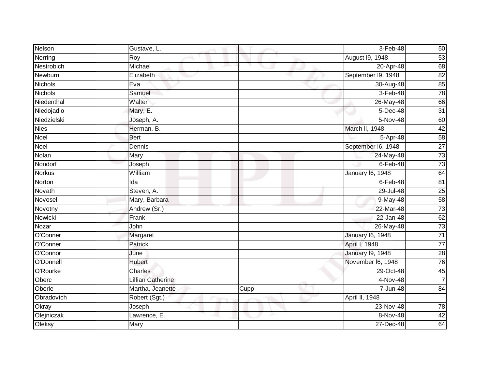| Nelson         | Gustave, L.              |      | 3-Feb-48                | 50              |
|----------------|--------------------------|------|-------------------------|-----------------|
| Nerring        | Roy                      |      | August 19, 1948         | 53              |
| Nestrobich     | Michael                  |      | 20-Apr-48               | 68              |
| Newburn        | Elizabeth                |      | September I9, 1948      | 82              |
| <b>Nichols</b> | Eva                      |      | 30-Aug-48               | 85              |
| <b>Nichols</b> | Samuel                   |      | 3-Feb-48                | 78              |
| Niedenthal     | Walter                   |      | 26-May-48               | 66              |
| Niedojadlo     | Mary, E.                 |      | 5-Dec-48                | 31              |
| Niedzielski    | Joseph, A.               |      | 5-Nov-48                | 60              |
| <b>Nies</b>    | Herman, B.               |      | March II, 1948          | 42              |
| Noel           | <b>Bert</b>              |      | 5-Apr-48                | 58              |
| Noel           | Dennis                   |      | September I6, 1948      | $\overline{27}$ |
| Nolan          | Mary                     |      | 24-May-48               | $\overline{73}$ |
| Nondorf        | Joseph                   |      | $6$ -Feb-48             | $\overline{73}$ |
| <b>Norkus</b>  | William                  |      | <b>January 16, 1948</b> | 64              |
| Norton         | Ida                      |      | 6-Feb-48                | 81              |
| Novath         | Steven, A.               |      | 29-Jul-48               | 25              |
| Novosel        | Mary, Barbara            |      | 9-May-48                | 58              |
| Novotny        | Andrew (Sr.)             |      | 22-Mar-48               | $\overline{73}$ |
| Nowicki        | Frank                    |      | 22-Jan-48               | 62              |
| Nozar          | John                     |      | 26-May-48               | 73              |
| O'Conner       | Margaret                 |      | <b>January 16, 1948</b> | $\overline{71}$ |
| O'Conner       | Patrick                  |      | April I, 1948           | $\overline{77}$ |
| O'Connor       | June                     |      | <b>January 19, 1948</b> | $\overline{28}$ |
| O'Donnell      | Hubert                   |      | November I6, 1948       | 76              |
| O'Rourke       | Charles                  |      | 29-Oct-48               | 45              |
| Oberc          | <b>Lillian Catherine</b> |      | $4-Nov-48$              | $\overline{7}$  |
| Oberle         | Martha, Jeanette         | Cupp | 7-Jun-48                | $\overline{84}$ |
| Obradovich     | Robert (Sgt.)            |      | April II, 1948          |                 |
| Okray          | Joseph                   |      | 23-Nov-48               | 78              |
| Olejniczak     | Lawrence, E.             |      | 8-Nov-48                | 42              |
| Oleksy         | Mary                     |      | 27-Dec-48               | 64              |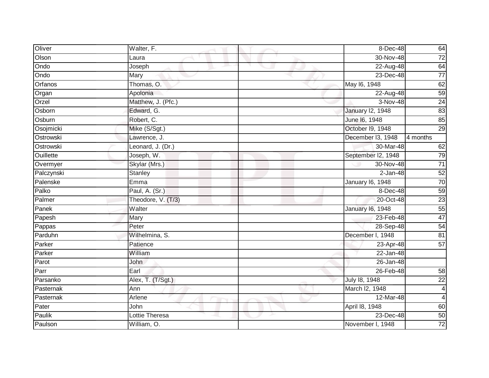| Oliver           | Walter, F.         | 8-Dec-48                | 64                      |
|------------------|--------------------|-------------------------|-------------------------|
| Olson            | Laura              | $30 - Nov-48$           | $\overline{72}$         |
| Ondo             | Joseph             | 22-Aug-48               | 64                      |
| Ondo             | Mary               | 23-Dec-48               | $\overline{77}$         |
| Orfanos          | Thomas, O.         | May 16, 1948            | 62                      |
| Organ            | Apolonia           | 22-Aug-48               | 59                      |
| Orzel            | Matthew, J. (Pfc.) | 3-Nov-48                | $\overline{24}$         |
| Osborn           | Edward, G.         | <b>January 12, 1948</b> | 83                      |
| Osburn           | Robert, C.         | June 16, 1948           | 85                      |
| Osojmicki        | Mike (S/Sgt.)      | October I9, 1948        | 29                      |
| Ostrowski        | Lawrence, J.       | December I3, 1948       | $\overline{4}$ months   |
| Ostrowski        | Leonard, J. (Dr.)  | 30-Mar-48               | 62                      |
| <b>Ouillette</b> | Joseph, W.         | September I2, 1948      | 79                      |
| Overmyer         | Skylar (Mrs.)      | 30-Nov-48               | $\overline{71}$         |
| Palczynski       | Stanley            | $2-Jan-48$              | 52                      |
| Palenske         | Emma               | January 16, 1948        | 70                      |
| Palko            | Paul, A. (Sr.)     | 8-Dec-48                | $\overline{59}$         |
| Palmer           | Theodore, V. (T/3) | 20-Oct-48               | $\overline{23}$         |
| Panek            | Walter             | January 16, 1948        | 55                      |
| Papesh           | Mary               | 23-Feb-48               | 47                      |
| Pappas           | Peter              | 28-Sep-48               | 54                      |
| Parduhn          | Wilhelmina, S.     | December I, 1948        | 81                      |
| Parker           | Patience           | 23-Apr-48               | $\overline{57}$         |
| Parker           | William            | 22-Jan-48               |                         |
| Parot            | <b>John</b>        | 26-Jan-48               |                         |
| Parr             | Earl               | 26-Feb-48               | 58                      |
| Parsanko         | Alex, T. (T/Sgt.)  | July 18, 1948           | $\overline{22}$         |
| Pasternak        | Ann                | March I2, 1948          | $\overline{\mathbf{4}}$ |
| Pasternak        | Arlene             | 12-Mar-48               | $\overline{4}$          |
| Pater            | John               | April 18, 1948          | 60                      |
| Paulik           | Lottie Theresa     | 23-Dec-48               | 50                      |
| Paulson          | William, O.        | November I, 1948        | $\overline{72}$         |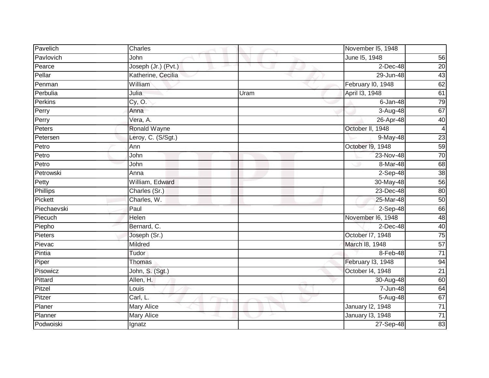| Pavelich        | Charles             |      | November I5, 1948 |                 |
|-----------------|---------------------|------|-------------------|-----------------|
| Pavlovich       | John                |      | June 15, 1948     | 56              |
| Pearce          | Joseph (Jr.) (Pvt.) |      | $2$ -Dec-48       | 20              |
| Pellar          | Katherine, Cecilia  |      | 29-Jun-48         | 43              |
| Penman          | William             |      | February I0, 1948 | 62              |
| Perbulia        | Julia               | Uram | April 13, 1948    | 61              |
| Perkins         | Cy, O.              |      | 6-Jan-48          | 79              |
| Perry           | Anna                |      | $3 -$ Aug-48      | 67              |
| Perry           | Vera, A.            |      | 26-Apr-48         | 40              |
| Peters          | <b>Ronald Wayne</b> |      | October II, 1948  | $\overline{4}$  |
| Petersen        | Leroy, C. (S/Sgt.)  |      | 9-May-48          | 23              |
| Petro           | Ann                 |      | October 19, 1948  | 59              |
| Petro           | John                |      | 23-Nov-48         | 70              |
| Petro           | John                |      | 8-Mar-48          | 68              |
| Petrowski       | Anna                |      | $2-Sep-48$        | 38              |
| Petty           | William, Edward     |      | 30-May-48         | 56              |
| <b>Phillips</b> | Charles (Sr.)       |      | 23-Dec-48         | 80              |
| Pickett         | Charles, W.         |      | 25-Mar-48         | 50              |
| Piechaevski     | Paul                |      | $2-Sep-48$        | 66              |
| Piecuch         | Helen               |      | November I6, 1948 | 48              |
| Piepho          | Bernard, C.         |      | $2$ -Dec-48       | 40              |
| Pieters         | Joseph (Sr.)        |      | October 17, 1948  | 75              |
| Pievac          | Mildred             |      | March 18, 1948    | 57              |
| Pintia          | Tudor               |      | 8-Feb-48          | $71$            |
| Piper           | Thomas              |      | February I3, 1948 | 94              |
| Pisowicz        | John, S. (Sgt.)     |      | October 14, 1948  | $\overline{21}$ |
| Pittard         | Allen, H.           |      | 30-Aug-48         | 60              |
| Pitzel          | Louis               |      | $7 - Jun-48$      | 64              |
| Pitzer          | Carl, L.            |      | 5-Aug-48          | 67              |
| Planer          | <b>Mary Alice</b>   |      | January 12, 1948  | $\overline{71}$ |
| Planner         | Mary Alice          |      | January 13, 1948  | $\overline{71}$ |
| Podwoiski       | Ignatz              |      | 27-Sep-48         | 83              |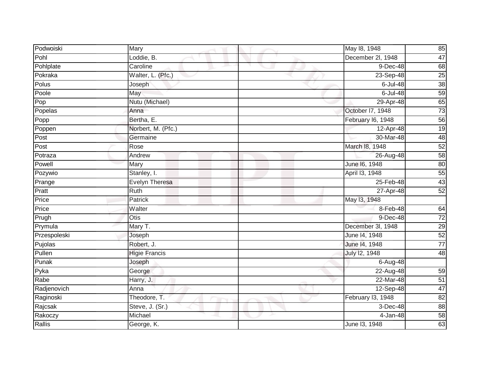| Podwoiski    | Mary                 | May 18, 1948<br>85                   |
|--------------|----------------------|--------------------------------------|
| Pohl         | Loddie, B.           | 47<br>December 2l, 1948              |
| Pohlplate    | Caroline             | 9-Dec-48<br>68                       |
| Pokraka      | Walter, L. (Pfc.)    | $\overline{25}$<br>$23-Sep-48$       |
| Polus        | Joseph               | 38<br>$6$ -Jul-48                    |
| Poole        | May                  | 59<br>$6$ -Jul-48                    |
| Pop          | Nutu (Michael)       | 65<br>29-Apr-48                      |
| Popelas      | Anna                 | 73<br>October I7, 1948               |
| Popp         | Bertha, E.           | 56<br>February I6, 1948              |
| Poppen       | Norbert, M. (Pfc.)   | 19<br>12-Apr-48                      |
| Post         | Germaine             | 48<br>30-Mar-48                      |
| Post         | Rose                 | March 18, 1948<br>52                 |
| Potraza      | Andrew               | 58<br>26-Aug-48                      |
| Powell       | Mary                 | June 16, 1948<br>80                  |
| Pozywio      | Stanley, I.          | April 13, 1948<br>55                 |
| Prange       | Evelyn Theresa       | 43<br>25-Feb-48                      |
| Pratt        | Ruth                 | 52<br>27-Apr-48                      |
| Price        | Patrick              | May 13, 1948                         |
| Price        | Walter               | 8-Feb-48<br>64                       |
| Prugh        | Otis                 | $\overline{72}$<br>9-Dec-48          |
| Prymula      | Mary T.              | December 3l, 1948<br>29              |
| Przespoleski | Joseph               | 52<br>June 14, 1948                  |
| Pujolas      | Robert, J.           | $\overline{77}$<br>June 14, 1948     |
| Pullen       | <b>Higie Francis</b> | July 12, 1948<br>48                  |
| Punak        | Joseph               | 6-Aug-48                             |
| Pyka         | George               | $22-Aug-48$<br>59                    |
| Rabe         | Harry, J.            | 22-Mar-48<br>51                      |
| Radjenovich  | Anna                 | 47<br>12-Sep-48                      |
| Raginoski    | Theodore, T.         | February I3, 1948<br>$\overline{82}$ |
| Rajcsak      | Steve, J. (Sr.)      | 3-Dec-48<br>88                       |
| Rakoczy      | Michael              | 58<br>4-Jan-48                       |
| Rallis       | George, K.           | 63<br>June 13, 1948                  |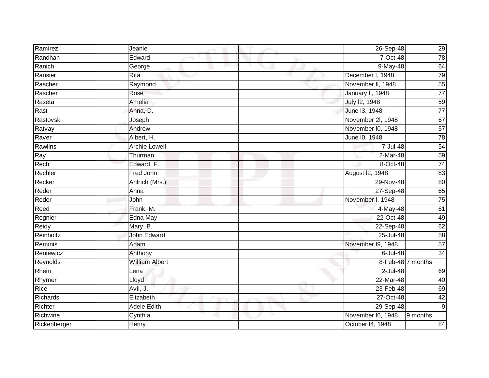| Ramirez         | Jeanie                | 26-Sep-48         | 29              |
|-----------------|-----------------------|-------------------|-----------------|
| Randhan         | Edward                | 7-Oct-48          | 78              |
| Ranich          | George<br>e a         | 9-May-48          | 64              |
| Ransier         | Rita                  | December I, 1948  | 79              |
| Rascher         | Raymond               | November II, 1948 | $\overline{55}$ |
| Rascher         | Rose                  | January II, 1948  | $\overline{77}$ |
| Raseta          | Amelia                | July 12, 1948     | 59              |
| Rast            | Anna, D.              | June 13, 1948     | $\frac{1}{77}$  |
| Rastovski       | Joseph                | November 2I, 1948 | 67              |
| Ratvay          | Andrew                | November I0, 1948 | 57              |
| Raver           | Albert, H.            | June 10, 1948     | 78              |
| Rawlins         | <b>Archie Lowell</b>  | 7-Jul-48          | 54              |
| Ray             | Thurman               | 2-Mar-48          | 59              |
| Rech            | Edward, F.            | 8-Oct-48          | 74              |
| Rechler         | Fred John             | August I2, 1948   | 83              |
| Recker          | Ahlrich (Mrs.)        | 29-Nov-48         | 80              |
| Reder           | Anna                  | 27-Sep-48         | 65              |
| Reder           | John                  | November I, 1948  | 75              |
| Reed            | Frank, M.             | 4-May-48          | 61              |
| Regnier         | Edna May              | 22-Oct-48         | 49              |
| Reidy           | Mary, B.              | 22-Sep-48         | 62              |
| Reinholtz       | John Edward           | 25-Jul-48         | $\overline{58}$ |
| Reminis         | Adam                  | November I9, 1948 | 57              |
| Reniewicz       | Anthony               | 6-Jul-48          | $\overline{34}$ |
| Reynolds        | <b>William Albert</b> | 8-Feb-48 7 months |                 |
| Rhein           | Lena                  | $2$ -Jul-48       | 69              |
| Rhymer          | Lloyd                 | 22-Mar-48         | 40              |
| Rice            | Avil, J.              | 23-Feb-48         | 69              |
| <b>Richards</b> | Elizabeth             | 27-Oct-48         | 42              |
| Richter         | <b>Adele Edith</b>    | 29-Sep-48         | $\overline{9}$  |
| Richwine        | Cynthia               | November I6, 1948 | 9 months        |
| Rickenberger    | Henry                 | October I4, 1948  | 84              |
|                 |                       |                   |                 |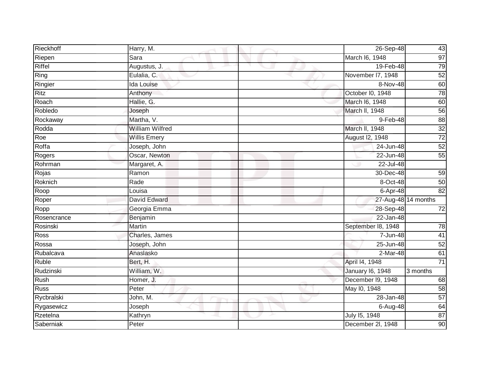| Rieckhoff   | Harry, M.              | 26-Sep-48               | 43              |
|-------------|------------------------|-------------------------|-----------------|
| Riepen      | Sara                   | March I6, 1948          | 97              |
| Riffel      | Augustus, J.<br>e a    | 19-Feb-48               | 79              |
| Ring        | Eulalia, C.            | November I7, 1948       | 52              |
| Ringier     | <b>Ida Louise</b>      | 8-Nov-48                | 60              |
| <b>Ritz</b> | Anthony                | October I0, 1948        | 78              |
| Roach       | Hallie, G.             | March I6, 1948          | 60              |
| Robledo     | Joseph                 | March II, 1948          | 56              |
| Rockaway    | Martha, V.             | 9-Feb-48                | 88              |
| Rodda       | <b>William Wilfred</b> | March II, 1948          | 32              |
| Roe         | <b>Willis Emery</b>    | August I2, 1948         | $\overline{72}$ |
| Roffa       | Joseph, John           | 24-Jun-48               | 52              |
| Rogers      | Oscar, Newton          | 22-Jun-48               | 55              |
| Rohrman     | Margaret, A.           | 22-Jul-48               |                 |
| Rojas       | Ramon                  | 30-Dec-48               | 59              |
| Roknich     | Rade                   | 8-Oct-48                | 50              |
| Roop        | Louisa                 | $6-Apr-48$              | 82              |
| Roper       | David Edward           | 27-Aug-48 14 months     |                 |
| Ropp        | Georgia Emma           | 28-Sep-48               | $\overline{72}$ |
| Rosencrance | Benjamin               | 22-Jan-48               |                 |
| Rosinski    | Martin                 | September 18, 1948      | 78              |
| <b>Ross</b> | Charles, James         | 7-Jun-48                | $\overline{41}$ |
| Rossa       | Joseph, John           | 25-Jun-48               | 52              |
| Rubalcava   | Anaslasko              | 2-Mar-48                | 61              |
| Ruble       | Bert, H.               | April 14, 1948          | $\overline{71}$ |
| Rudzinski   | William, W.            | <b>January 16, 1948</b> | 3 months        |
| Rush        | Homer, J.              | December I9, 1948       | 68              |
| <b>Russ</b> | Peter                  | May 10, 1948            | 58              |
| Rycbralski  | John, M.               | 28-Jan-48               | $\overline{57}$ |
| Rygasewicz  | Joseph                 | 6-Aug-48                | 64              |
| Rzetelna    | Kathryn                | July 15, 1948           | $\overline{87}$ |
| Saberniak   | Peter                  | December 2l, 1948       | 90              |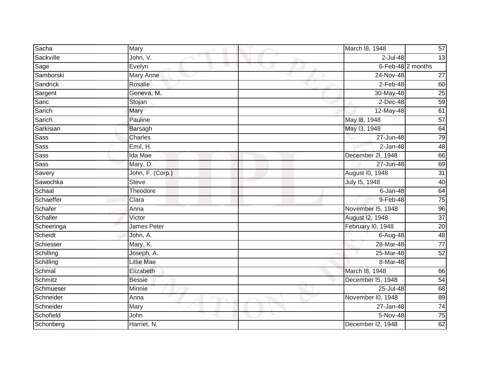| Sacha           | Mary               | March 18, 1948         | 57                |
|-----------------|--------------------|------------------------|-------------------|
| Sackville       | John, V.           | 2-Jul-48               | 13                |
| Sage            | Evelyn             |                        | 6-Feb-48 2 months |
| Samborski       | Mary Anne          | 24-Nov-48              | $\overline{27}$   |
| <b>Sandrick</b> | Rosalie            | $2$ -Feb-48            | 60                |
| Sargent         | Geneva, M.         | 30-May-48              | 25                |
| Saric           | Stojan             | $2$ -Dec-48            | 59                |
| Sarich          | Mary               | 12-May-48              | 61                |
| Sarich          | Pauline            | May 18, 1948           | 57                |
| Sarkisian       | <b>Barsagh</b>     | May 13, 1948           | 64                |
| <b>Sass</b>     | Charles            | 27-Jun-48              | 79                |
| <b>Sass</b>     | Emil, H.           | $2-Jan-48$             | 48                |
| <b>Sass</b>     | Ida Mae            | December 2l, 1948      | 66                |
| <b>Sass</b>     | Mary, D.           | 27-Jun-48              | 69                |
| Savery          | John, F. (Corp.)   | <b>August I0, 1948</b> | 31                |
| Sawochka        | <b>Steve</b>       | July 15, 1948          | 40                |
| Schaal          | Theodore           | $6$ -Jan-48            | 64                |
| Schaeffer       | Clara              | 9-Feb-48               | 75                |
| Schafer         | Anna               | November 15, 1948      | 96                |
| Schaller        | Victor             | August 12, 1948        | 37                |
| Scheeringa      | <b>James Peter</b> | February I0, 1948      | 20                |
| Scheidt         | John, A.           | 6-Aug-48               | $\overline{48}$   |
| Schiesser       | Mary, K.           | 28-Mar-48              | $\overline{77}$   |
| Schilling       | Joseph, A.         | 25-Mar-48              | 52                |
| Schilling       | <b>Lillie Mae</b>  | 8-Mar-48               |                   |
| Schmal          | Elizabeth          | March 18, 1948         | 66                |
| Schmitz         | <b>Bessie</b>      | December 15, 1948      | 54                |
| Schmueser       | Minnie             | $25$ -Jul-48           | 68                |
| Schneider       | Anna               | November I0, 1948      | 89                |
| Schneider       | Mary               | 27-Jan-48              | 74                |
| Schofield       | John               | 5-Nov-48               | 75                |
| Schonberg       | Harriet, N.        | December I2, 1948      | 62                |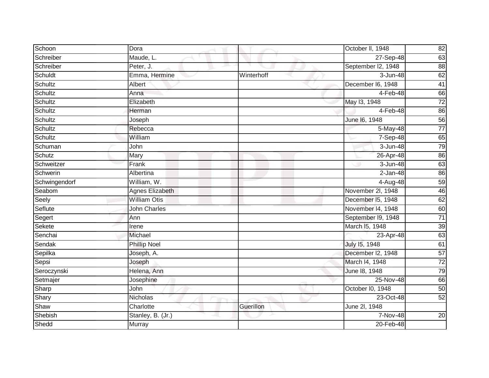| Schoon        | Dora                |            | October II, 1948   | 82              |
|---------------|---------------------|------------|--------------------|-----------------|
| Schreiber     | Maude, L.           |            | 27-Sep-48          | 63              |
| Schreiber     | Peter, J.           |            | September I2, 1948 | 88              |
| Schuldt       | Emma, Hermine       | Winterhoff | 3-Jun-48           | 62              |
| Schultz       | Albert              |            | December I6, 1948  | 41              |
| Schultz       | Anna                |            | 4-Feb-48           | 66              |
| Schultz       | Elizabeth           |            | May 13, 1948       | 72              |
| Schultz       | Herman              |            | $4-Feb-48$         | 86              |
| Schultz       | Joseph              |            | June 16, 1948      | 56              |
| Schultz       | Rebecca             |            | 5-May-48           | $\overline{77}$ |
| Schultz       | William             |            | $7-$ Sep-48        | 65              |
| Schuman       | John                |            | 3-Jun-48           | 79              |
| Schutz        | Mary                |            | 26-Apr-48          | 86              |
| Schweitzer    | Frank               |            | 3-Jun-48           | 63              |
| Schwerin      | Albertina           |            | $2 - Jan-48$       | 86              |
| Schwingendorf | William, W.         |            | $4-Aug-48$         | 59              |
| Seabom        | Agnes Elizabeth     |            | November 2l, 1948  | 46              |
| Seely         | <b>William Otis</b> |            | December I5, 1948  | 62              |
| Seflute       | <b>John Charles</b> |            | November 14, 1948  | 60              |
| Segert        | Ann                 |            | September I9, 1948 | 71              |
| Sekete        | Irene               |            | March 15, 1948     | 39              |
| Senchai       | Michael             |            | 23-Apr-48          | 63              |
| Sendak        | <b>Phillip Noel</b> |            | July 15, 1948      | 61              |
| Sepilka       | Joseph, A.          |            | December I2, 1948  | 57              |
| Sepsi         | Joseph              |            | March I4, 1948     | $\overline{72}$ |
| Seroczynski   | Helena, Ann         |            | June 18, 1948      | 79              |
| Setmajer      | Josephine           |            | 25-Nov-48          | 66              |
| Sharp         | John                |            | October I0, 1948   | 50              |
| Shary         | Nicholas            |            | 23-Oct-48          | 52              |
| Shaw          | Charlotte           | Guerillon  | June 2l, 1948      |                 |
| Shebish       | Stanley, B. (Jr.)   |            | 7-Nov-48           | 20              |
| Shedd         | Murray              |            | 20-Feb-48          |                 |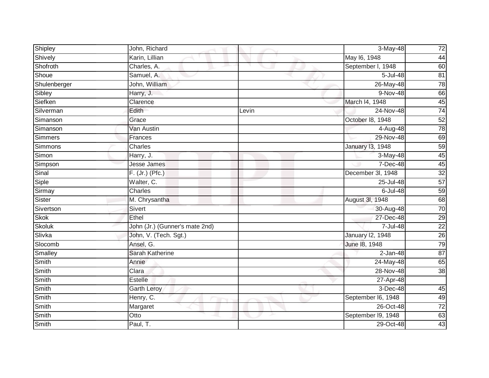| Shipley        | John, Richard                  |       | 3-May-48                | 72              |
|----------------|--------------------------------|-------|-------------------------|-----------------|
| Shively        | Karin, Lillian                 |       | May 16, 1948            | 44              |
| Shofroth       | Charles, A.                    |       | September I, 1948       | 60              |
| Shoue          | Samuel, A.                     |       | 5-Jul-48                | 81              |
| Shulenberger   | John, William                  |       | 26-May-48               | 78              |
| Sibley         | Harry, J.                      |       | 9-Nov-48                | 66              |
| Siefken        | Clarence                       |       | March 14, 1948          | 45              |
| Silverman      | Edith                          | Levin | 24-Nov-48               | $\overline{74}$ |
| Simanson       | Grace                          |       | October 18, 1948        | 52              |
| Simanson       | Van Austin                     |       | 4-Aug-48                | 78              |
| <b>Simmers</b> | Frances                        |       | 29-Nov-48               | 69              |
| <b>Simmons</b> | Charles                        |       | <b>January 13, 1948</b> | 59              |
| Simon          | Harry, J.                      |       | 3-May-48                | 45              |
| Simpson        | <b>Jesse James</b>             |       | 7-Dec-48                | 45              |
| Sinal          | $F.$ (Jr.) (Pfc.)              |       | December 3l, 1948       | 32              |
| Siple          | Walter, C.                     |       | 25-Jul-48               | 57              |
| Sirmay         | Charles                        |       | 6-Jul-48                | 59              |
| Sister         | M. Chrysantha                  |       | August 3I, 1948         | 68              |
| Sivertson      | Sivert                         |       | 30-Aug-48               | 70              |
| <b>Skok</b>    | Ethel                          |       | 27-Dec-48               | 29              |
| <b>Skoluk</b>  | John (Jr.) (Gunner's mate 2nd) |       | 7-Jul-48                | $\overline{22}$ |
| Slivka         | John, V. (Tech. Sgt.)          |       | January 12, 1948        | $\overline{26}$ |
| Slocomb        | Ansel, G.                      |       | June 18, 1948           | 79              |
| Smalley        | Sarah Katherine                |       | $2$ -Jan-48             | 87              |
| Smith          | Annie                          |       | 24-May-48               | 65              |
| Smith          | Clara                          |       | 28-Nov-48               | $\overline{38}$ |
| Smith          | <b>Estelle</b>                 |       | 27-Apr-48               |                 |
| Smith          | Garth Leroy                    |       | $3$ -Dec-48             | 45              |
| Smith          | Henry, C.                      |       | September I6, 1948      | 49              |
| Smith          | Margaret                       |       | 26-Oct-48               | $\overline{72}$ |
| Smith          | Otto                           |       | September I9, 1948      | 63              |
| Smith          | Paul, T.                       |       | 29-Oct-48               | 43              |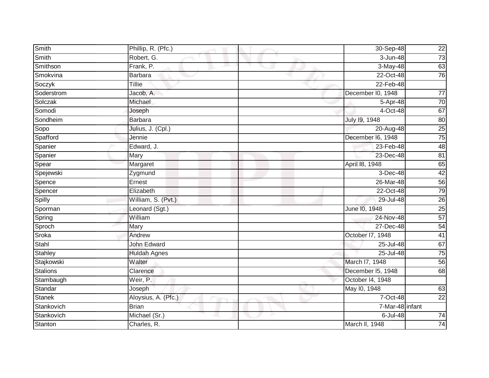| Smith           | Phillip, R. (Pfc.)  | 30-Sep-48         | $\overline{22}$ |
|-----------------|---------------------|-------------------|-----------------|
| Smith           | Robert, G.          | 3-Jun-48          | 73              |
| Smithson        | Frank, P.           | $3-May-48$        | 63              |
| Smokvina        | Barbara             | 22-Oct-48         | 76              |
| Soczyk          | <b>Tillie</b>       | 22-Feb-48         |                 |
| Soderstrom      | Jacob, A.           | December I0, 1948 | $\overline{77}$ |
| Solczak         | Michael             | 5-Apr-48          | 70              |
| Somodi          | Joseph              | 4-Oct-48          | 67              |
| Sondheim        | <b>Barbara</b>      | July 19, 1948     | 80              |
| Sopo            | Julius, J. (Cpl.)   | 20-Aug-48         | 25              |
| Spafford        | Jennie              | December I6, 1948 | 75              |
| Spanier         | Edward, J.          | 23-Feb-48         | 48              |
| Spanier         | Mary                | 23-Dec-48         | 81              |
| Spear           | Margaret            | April 18, 1948    | 65              |
| Spejewski       | Zygmund             | 3-Dec-48          | 42              |
| Spence          | Ernest              | 26-Mar-48         | 56              |
| Spencer         | Elizabeth           | 22-Oct-48         | $\overline{79}$ |
| Spilly          | William, S. (Pvt.)  | 29-Jul-48         | 26              |
| Sporman         | Leonard (Sgt.)      | June 10, 1948     | 25              |
| Spring          | William             | 24-Nov-48         | 57              |
| Sproch          | Mary                | 27-Dec-48         | 54              |
| Sroka           | Andrew              | October 17, 1948  | 41              |
| Stahl           | <b>John Edward</b>  | 25-Jul-48         | 67              |
| <b>Stahley</b>  | <b>Huldah Agnes</b> | 25-Jul-48         | 75              |
| Stajkowski      | Walter              | March I7, 1948    | 56              |
| <b>Stalions</b> | Clarence            | December I5, 1948 | 68              |
| Stambaugh       | Weir, P.            | October 14, 1948  |                 |
| Standar         | Joseph              | May 10, 1948      | 63              |
| <b>Stanek</b>   | Aloysius, A. (Pfc.) | 7-Oct-48          | $\overline{22}$ |
| Stankovich      | <b>Brian</b>        | 7-Mar-48 infant   |                 |
| Stankovich      | Michael (Sr.)       | 6-Jul-48          | 74              |
| Stanton         | Charles, R.         | March II, 1948    | $\overline{74}$ |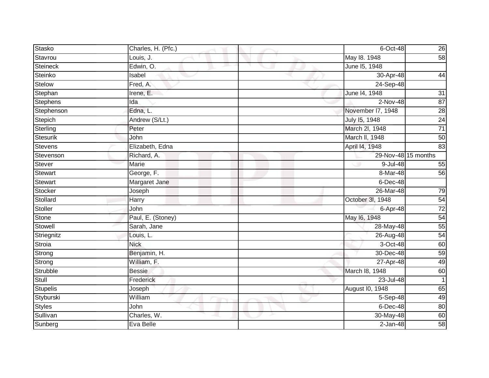| Stasko          | Charles, H. (Pfc.) | 6-Oct-48          | 26                  |
|-----------------|--------------------|-------------------|---------------------|
| Stavrou         | Louis, J.          | May 18. 1948      | 58                  |
| <b>Steineck</b> | Edwin, O.          | June 15, 1948     |                     |
| Steinko         | Isabel             | 30-Apr-48         | 44                  |
| Stelow          | Fred, A.           | 24-Sep-48         |                     |
| Stephan         | Irene, E.          | June 14, 1948     | $\overline{31}$     |
| <b>Stephens</b> | Ida                | 2-Nov-48          | 87                  |
| Stephenson      | Edna, L.           | November I7, 1948 | $\overline{28}$     |
| Stepich         | Andrew (S/Lt.)     | July 15, 1948     | $\overline{24}$     |
| Sterling        | Peter              | March 2I, 1948    | $\overline{71}$     |
| <b>Stesurik</b> | John               | March II, 1948    | 50                  |
| <b>Stevens</b>  | Elizabeth, Edna    | April 14, 1948    | 83                  |
| Stevenson       | Richard, A.        |                   | 29-Nov-48 15 months |
| Stever          | Marie              | 9-Jul-48          | 55                  |
| <b>Stewart</b>  | George, F.         | 8-Mar-48          | 56                  |
| <b>Stewart</b>  | Margaret Jane      | 6-Dec-48          |                     |
| Stocker         | Joseph             | 26-Mar-48         | 79                  |
| Stollard        | <b>Harry</b>       | October 3I, 1948  | 54                  |
| Stoller         | John               | 6-Apr-48          | 72                  |
| <b>Stone</b>    | Paul, E. (Stoney)  | May 16, 1948      | 54                  |
| Stowell         | Sarah, Jane        | 28-May-48         | 55                  |
| Striegnitz      | Louis, L.          | 26-Aug-48         | $\overline{54}$     |
| Stroia          | <b>Nick</b>        | 3-Oct-48          | 60                  |
| Strong          | Benjamin, H.       | 30-Dec-48         | 59                  |
| Strong          | William, F.        | 27-Apr-48         | 49                  |
| Strubble        | <b>Bessie</b>      | March 18, 1948    | 60                  |
| Stull           | Frederick          | 23-Jul-48         | 1                   |
| <b>Stupelis</b> | Joseph             | August I0, 1948   | 65                  |
| Styburski       | William            | $5-$ Sep-48       | 49                  |
| <b>Styles</b>   | John               | $6$ -Dec-48       | 80                  |
| Sullivan        | Charles, W.        | 30-May-48         | 60                  |
| Sunberg         | Eva Belle          | $2 - Jan-48$      | $\overline{58}$     |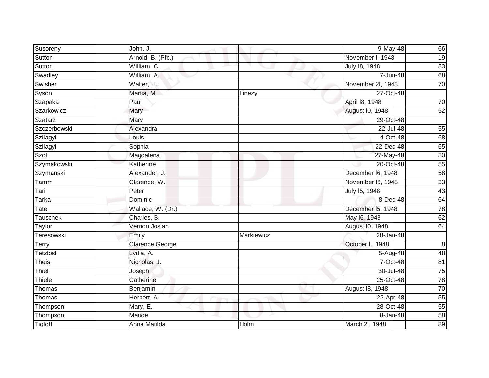| Susoreny        | John, J.          |            | 9-May-48          | 66              |
|-----------------|-------------------|------------|-------------------|-----------------|
| Sutton          | Arnold, B. (Pfc.) |            | November I, 1948  | 19              |
| Sutton          | William, C.       |            | July 18, 1948     | 83              |
| Swadley         | William, A.       |            | 7-Jun-48          | 68              |
| Swisher         | Walter, H.        |            | November 2l, 1948 | 70              |
| Syson           | Martia, M.        | Linezy     | 27-Oct-48         |                 |
| Szapaka         | Paul              |            | April 18, 1948    | 70              |
| Szarkowicz      | Mary              |            | August I0, 1948   | 52              |
| Szatarz         | Mary              |            | 29-Oct-48         |                 |
| Szczerbowski    | Alexandra         |            | 22-Jul-48         | 55              |
| Szilagyi        | Louis             |            | 4-Oct-48          | 68              |
| Szilagyi        | Sophia            |            | 22-Dec-48         | 65              |
| Szot            | Magdalena         |            | 27-May-48         | 80              |
| Szymakowski     | Katherine         |            | 20-Oct-48         | 55              |
| Szymanski       | Alexander, J.     |            | December I6, 1948 | $\overline{58}$ |
| Tamm            | Clarence, W.      |            | November I6, 1948 | 33              |
| Tari            | Peter             |            | July 15, 1948     | 43              |
| Tarka           | Dominic           |            | $8$ -Dec-48       | 64              |
| Tate            | Wallace, W. (Dr.) |            | December I5, 1948 | 78              |
| <b>Tauschek</b> | Charles, B.       |            | May 16, 1948      | 62              |
| Taylor          | Vernon Josiah     |            | August I0, 1948   | 64              |
| Teresowski      | Emily             | Markiewicz | 28-Jan-48         |                 |
| <b>Terry</b>    | Clarence George   |            | October II, 1948  | $\overline{8}$  |
| <b>Tetzlosf</b> | Lydia, A.         |            | 5-Aug-48          | 48              |
| <b>Theis</b>    | Nicholas, J.      |            | 7-Oct-48          | 81              |
| Thiel           | Joseph            |            | 30-Jul-48         | $\overline{75}$ |
| Thiele          | Catherine         |            | 25-Oct-48         | 78              |
| Thomas          | Benjamin          |            | August 18, 1948   | 70              |
| Thomas          | Herbert, A.       |            | 22-Apr-48         | 55              |
| Thompson        | Mary, E.          |            | 28-Oct-48         | 55              |
| Thompson        | Maude             |            | 8-Jan-48          | 58              |
| <b>Tigloff</b>  | Anna Matilda      | Holm       | March 2I, 1948    | $\overline{89}$ |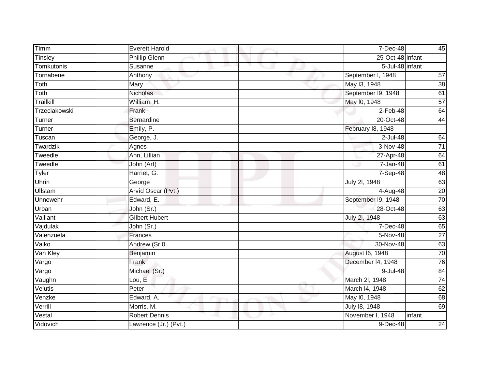| Timm             | <b>Everett Harold</b> | 7-Dec-48           | 45              |
|------------------|-----------------------|--------------------|-----------------|
| Tinsley          | <b>Phillip Glenn</b>  | 25-Oct-48 infant   |                 |
| Tomkutonis       | Susanne               | 5-Jul-48 infant    |                 |
| Tornabene        | Anthony               | September I, 1948  | 57              |
| Toth             | Mary                  | May 13, 1948       | 38              |
| Toth             | Nicholas              | September I9, 1948 | 61              |
| <b>Trailkill</b> | William, H.           | May 10, 1948       | 57              |
| Trzeciakowski    | Frank                 | $2-Feb-48$         | 64              |
| Turner           | <b>Bernardine</b>     | 20-Oct-48          | 44              |
| Turner           | Emily, P.             | February 18, 1948  |                 |
| Tuscan           | George, J.            | 2-Jul-48           | 64              |
| Twardzik         | Agnes                 | 3-Nov-48           | $\overline{71}$ |
| Tweedle          | Ann, Lillian          | 27-Apr-48          | 64              |
| Tweedle          | John (Art)            | 7-Jan-48           | 61              |
| <b>Tyler</b>     | Harriet, G.           | 7-Sep-48           | 48              |
| Uhrin            | George                | July 2l, 1948      | 63              |
| Ullstam          | Arvid Oscar (Pvt.)    | 4-Aug-48           | 20              |
| Unnewehr         | Edward, E.            | September I9, 1948 | 70              |
| Urban            | John (Sr.)            | 28-Oct-48          | 63              |
| Vaillant         | <b>Gilbert Hubert</b> | July 2l, 1948      | 63              |
| Vajdulak         | John (Sr.)            | 7-Dec-48           | 65              |
| Valenzuela       | Frances               | 5-Nov-48           | $\overline{27}$ |
| Valko            | Andrew (Sr.0          | 30-Nov-48          | 63              |
| Van Kley         | Benjamin              | August 16, 1948    | 70              |
| Vargo            | Frank                 | December I4, 1948  | 76              |
| Vargo            | Michael (Sr.)         | 9-Jul-48           | 84              |
| Vaughn           | Lou, $E$ .            | March 2I, 1948     | 74              |
| Velutis          | Peter                 | March I4, 1948     | 62              |
| Venzke           | Edward, A.            | May 10, 1948       | 68              |
| Verrill          | Morris, M.            | July 18, 1948      | 69              |
| Vestal           | <b>Robert Dennis</b>  | November I, 1948   | infant          |
| Vidovich         | Lawrence (Jr.) (Pvt.) | 9-Dec-48           | 24              |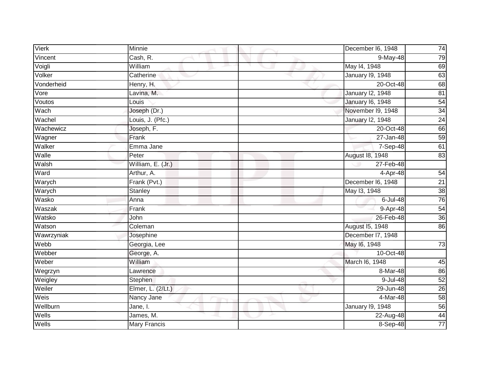| <b>Vierk</b> | Minnie              | December I6, 1948       | 74              |
|--------------|---------------------|-------------------------|-----------------|
| Vincent      | Cash, R.            | $9$ -May-48             | 79              |
| Voigli       | William             | May 14, 1948            | 69              |
| Volker       | Catherine           | January 19, 1948        | 63              |
| Vonderheid   | Henry, H.           | 20-Oct-48               | 68              |
| Vore         | Lavina, M.          | <b>January 12, 1948</b> | 81              |
| Voutos       | Louis               | January 16, 1948        | 54              |
| Wach         | Joseph (Dr.)        | November 19, 1948       | 34              |
| Wachel       | Louis, J. (Pfc.)    | <b>January 12, 1948</b> | $\overline{24}$ |
| Wachewicz    | Joseph, F.          | 20-Oct-48               | 66              |
| Wagner       | Frank               | 27-Jan-48               | 59              |
| Walker       | Emma Jane           | $7-$ Sep-48             | 61              |
| Walle        | Peter               | August 18, 1948         | 83              |
| Walsh        | William, E. (Jr.)   | 27-Feb-48               |                 |
| Ward         | Arthur, A.          | $4 - \overline{Apr-48}$ | 54              |
| Warych       | Frank (Pvt.)        | December I6, 1948       | $\overline{21}$ |
| Warych       | Stanley             | May 13, 1948            | 38              |
| Wasko        | Anna                | 6-Jul-48                | 76              |
| Waszak       | Frank               | 9-Apr-48                | 54              |
| Watsko       | John                | 26-Feb-48               | 36              |
| Watson       | Coleman             | August 15, 1948         | 86              |
| Wawrzyniak   | Josephine           | December 17, 1948       |                 |
| Webb         | Georgia, Lee        | May 16, 1948            | 73              |
| Webber       | George, A.          | 10-Oct-48               |                 |
| Weber        | William             | March I6, 1948          | 45              |
| Wegrzyn      | Lawrence            | 8-Mar-48                | 86              |
| Weigley      | Stephen             | 9-Jul-48                | 52              |
| Weiler       | Elmer, L. (2/Lt.)   | 29-Jun-48               | 26              |
| Weis         | Nancy Jane          | $4-Mar-48$              | 58              |
| Wellburn     | Jane, I.            | <b>January 19, 1948</b> | 56              |
| Wells        | James, M.           | 22-Aug-48               | 44              |
| Wells        | <b>Mary Francis</b> | 8-Sep-48                | $\overline{77}$ |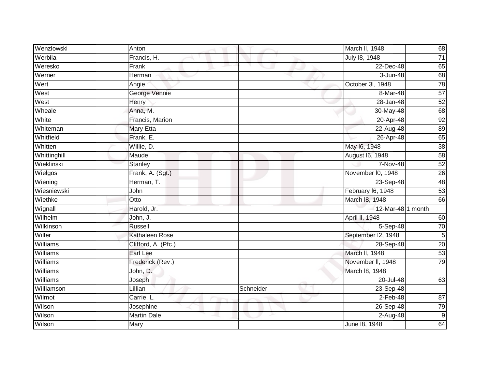| Wenzlowski      | Anton               |           | March II, 1948         | 68              |
|-----------------|---------------------|-----------|------------------------|-----------------|
| Werbila         | Francis, H.         |           | July 18, 1948          | 71              |
| Weresko         | Frank               |           | 22-Dec-48              | 65              |
| Werner          | Herman              |           | 3-Jun-48               | $\overline{68}$ |
| Wert            | Angie               |           | October 3l, 1948       | 78              |
| West            | George Vennie       |           | 8-Mar-48               | 57              |
| West            | Henry               |           | 28-Jan-48              | 52              |
| Wheale          | Anna, M.            |           | 30-May-48              | 68              |
| White           | Francis, Marion     |           | 20-Apr-48              | 92              |
| Whiteman        | <b>Mary Etta</b>    |           | 22-Aug-48              | 89              |
| Whitfield       | Frank, E.           |           | 26-Apr-48              | 65              |
| Whitten         | Willie, D.          |           | May 16, 1948           | 38              |
| Whittinghill    | Maude               |           | <b>August 16, 1948</b> | 58              |
| Wieklinski      | Stanley             |           | 7-Nov-48               | 52              |
| Wielgos         | Frank, A. (Sgt.)    |           | November I0, 1948      | $\overline{26}$ |
| Wiening         | Herman, T.          |           | 23-Sep-48              | 48              |
| Wiesniewski     | John                |           | February 16, 1948      | 53              |
| Wiethke         | $\overline{O}t$ to  |           | March 18, 1948         | 66              |
| Wignall         | Harold, Jr.         |           | 12-Mar-48 1 month      |                 |
| Wilhelm         | John, J.            |           | April II, 1948         | 60              |
| Wilkinson       | Russell             |           | 5-Sep-48               | 70              |
| Willer          | Kathaleen Rose      |           | September I2, 1948     | $\overline{5}$  |
| Williams        | Clifford, A. (Pfc.) |           | 28-Sep-48              | 20              |
| Williams        | Earl Lee            |           | March II, 1948         | 53              |
| Williams        | Frederick (Rev.)    |           | November II, 1948      | 79              |
| Williams        | John, D.            |           | March 18, 1948         |                 |
| <b>Williams</b> | Joseph              |           | $20 -$ Jul-48          | 63              |
| Williamson      | Lillian             | Schneider | 23-Sep-48              |                 |
| Wilmot          | Carrie, L.          |           | $2$ -Feb-48            | $\overline{87}$ |
| Wilson          | Josephine           |           | 26-Sep-48              | 79              |
| Wilson          | <b>Martin Dale</b>  |           | 2-Aug-48               | $\overline{9}$  |
| Wilson          | Mary                |           | June 18, 1948          | 64              |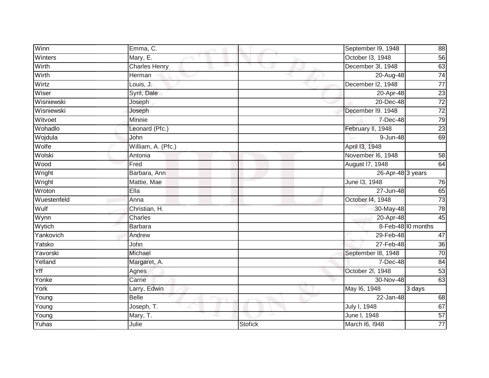| Winn        | Emma, C.             |                | September I9, 1948 | 88              |
|-------------|----------------------|----------------|--------------------|-----------------|
| Winters     | Mary, E.             |                | October I3, 1948   | 56              |
| Wirth       | <b>Charles Henry</b> |                | December 3l, 1948  | 63              |
| Wirth       | Herman               |                | 20-Aug-48          | $\overline{74}$ |
| Wirtz       | Louis, J.            |                | December I2, 1948  | $\overline{77}$ |
| Wiser       | Syril, Dale          |                | 20-Apr-48          | $\overline{23}$ |
| Wisniewski  | Joseph               |                | 20-Dec-48          | $\overline{72}$ |
| Wisniewski  | Joseph               |                | December I9. 1948  | $\overline{72}$ |
| Witvoet     | Minnie               |                | 7-Dec-48           | 79              |
| Wohadlo     | Leonard (Pfc.)       |                | February II, 1948  | 23              |
| Wojdula     | John                 |                | 9-Jun-48           | 69              |
| Wolfe       | William, A. (Pfc.)   |                | April 13, 1948     |                 |
| Wolski      | Antonia              |                | November I6, 1948  | 58              |
| <b>Wood</b> | Fred                 |                | August 17, 1948    | 64              |
| Wright      | Barbara, Ann         |                | 26-Apr-48 3 years  |                 |
| Wright      | Mattie, Mae          |                | June 13, 1948      | 76              |
| Wroton      | Ella                 |                | 27-Jun-48          | 65              |
| Wuestenfeld | Anna                 |                | October 14, 1948   | $\overline{73}$ |
| Wulf        | Christian, H.        |                | 30-May-48          | 78              |
| Wynn        | Charles              |                | 20-Apr-48          | 45              |
| Wytich      | Barbara              |                | 8-Feb-48 10 months |                 |
| Yankovich   | Andrew               |                | 29-Feb-48          | $\overline{47}$ |
| Yatsko      | John                 |                | 27-Feb-48          | 36              |
| Yavorski    | Michael              |                | September 18, 1948 | 70              |
| Yelland     | Margaret, A.         |                | 7-Dec-48           | $\overline{84}$ |
| Yff         | Agnes                |                | October 2l, 1948   | 53              |
| Yonke       | Carrie               |                | 30-Nov-48          | 63              |
| York        | Larry, Edwin         |                | May 16, 1948       | 3 days          |
| Young       | <b>Belle</b>         |                | 22-Jan-48          | 68              |
| Young       | Joseph, T.           |                | July I, 1948       | 67              |
| Young       | Mary, T.             |                | June I, 1948       | 57              |
| Yuhas       | Julie                | <b>Stofick</b> | March 16, 1948     | $\overline{77}$ |